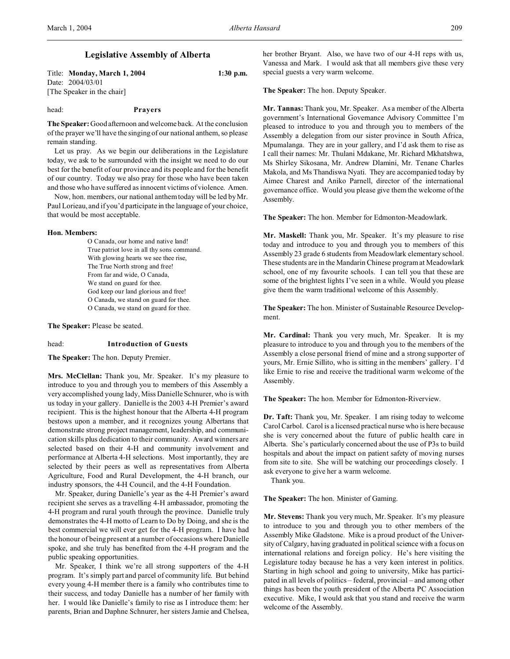# **Legislative Assembly of Alberta**

Title: **Monday, March 1, 2004 1:30 p.m.** Date: 2004/03/01 [The Speaker in the chair]

#### head: **Prayers**

**The Speaker:** Good afternoon and welcome back. At the conclusion of the prayer we'll have the singing of our national anthem, so please remain standing.

Let us pray. As we begin our deliberations in the Legislature today, we ask to be surrounded with the insight we need to do our best for the benefit of our province and its people and for the benefit of our country. Today we also pray for those who have been taken and those who have suffered as innocent victims of violence. Amen.

Now, hon. members, our national anthem today will be led by Mr. Paul Lorieau, and if you'd participate in the language of your choice, that would be most acceptable.

## **Hon. Members:**

O Canada, our home and native land! True patriot love in all thy sons command. With glowing hearts we see thee rise, The True North strong and free! From far and wide, O Canada, We stand on guard for thee. God keep our land glorious and free! O Canada, we stand on guard for thee. O Canada, we stand on guard for thee.

**The Speaker:** Please be seated.

# head: **Introduction of Guests**

**The Speaker:** The hon. Deputy Premier.

**Mrs. McClellan:** Thank you, Mr. Speaker. It's my pleasure to introduce to you and through you to members of this Assembly a very accomplished young lady, Miss Danielle Schnurer, who is with us today in your gallery. Danielle is the 2003 4-H Premier's award recipient. This is the highest honour that the Alberta 4-H program bestows upon a member, and it recognizes young Albertans that demonstrate strong project management, leadership, and communication skills plus dedication to their community. Award winners are selected based on their 4-H and community involvement and performance at Alberta 4-H selections. Most importantly, they are selected by their peers as well as representatives from Alberta Agriculture, Food and Rural Development, the 4-H branch, our industry sponsors, the 4-H Council, and the 4-H Foundation.

Mr. Speaker, during Danielle's year as the 4-H Premier's award recipient she serves as a travelling 4-H ambassador, promoting the 4-H program and rural youth through the province. Danielle truly demonstrates the 4-H motto of Learn to Do by Doing, and she is the best commercial we will ever get for the 4-H program. I have had the honour of being present at a number of occasions where Danielle spoke, and she truly has benefited from the 4-H program and the public speaking opportunities.

Mr. Speaker, I think we're all strong supporters of the 4-H program. It's simply part and parcel of community life. But behind every young 4-H member there is a family who contributes time to their success, and today Danielle has a number of her family with her. I would like Danielle's family to rise as I introduce them: her parents, Brian and Daphne Schnurer, her sisters Jamie and Chelsea,

her brother Bryant. Also, we have two of our 4-H reps with us, Vanessa and Mark. I would ask that all members give these very special guests a very warm welcome.

**The Speaker:** The hon. Deputy Speaker.

**Mr. Tannas:** Thank you, Mr. Speaker. As a member of the Alberta government's International Governance Advisory Committee I'm pleased to introduce to you and through you to members of the Assembly a delegation from our sister province in South Africa, Mpumalanga. They are in your gallery, and I'd ask them to rise as I call their names: Mr. Thulani Mdakane, Mr. Richard Mkhatshwa, Ms Shirley Sikosana, Mr. Andrew Dlamini, Mr. Tenane Charles Makola, and Ms Thandiswa Nyati. They are accompanied today by Aimee Charest and Aniko Parnell, director of the international governance office. Would you please give them the welcome of the Assembly.

**The Speaker:** The hon. Member for Edmonton-Meadowlark.

**Mr. Maskell:** Thank you, Mr. Speaker. It's my pleasure to rise today and introduce to you and through you to members of this Assembly 23 grade 6 students from Meadowlark elementary school. These students are in the Mandarin Chinese program at Meadowlark school, one of my favourite schools. I can tell you that these are some of the brightest lights I've seen in a while. Would you please give them the warm traditional welcome of this Assembly.

**The Speaker:** The hon. Minister of Sustainable Resource Development.

**Mr. Cardinal:** Thank you very much, Mr. Speaker. It is my pleasure to introduce to you and through you to the members of the Assembly a close personal friend of mine and a strong supporter of yours, Mr. Ernie Sillito, who is sitting in the members' gallery. I'd like Ernie to rise and receive the traditional warm welcome of the Assembly.

**The Speaker:** The hon. Member for Edmonton-Riverview.

**Dr. Taft:** Thank you, Mr. Speaker. I am rising today to welcome Carol Carbol. Carol is a licensed practical nurse who is here because she is very concerned about the future of public health care in Alberta. She's particularly concerned about the use of P3s to build hospitals and about the impact on patient safety of moving nurses from site to site. She will be watching our proceedings closely. I ask everyone to give her a warm welcome.

Thank you.

**The Speaker:** The hon. Minister of Gaming.

**Mr. Stevens:** Thank you very much, Mr. Speaker. It's my pleasure to introduce to you and through you to other members of the Assembly Mike Gladstone. Mike is a proud product of the University of Calgary, having graduated in political science with a focus on international relations and foreign policy. He's here visiting the Legislature today because he has a very keen interest in politics. Starting in high school and going to university, Mike has participated in all levels of politics – federal, provincial – and among other things has been the youth president of the Alberta PC Association executive. Mike, I would ask that you stand and receive the warm welcome of the Assembly.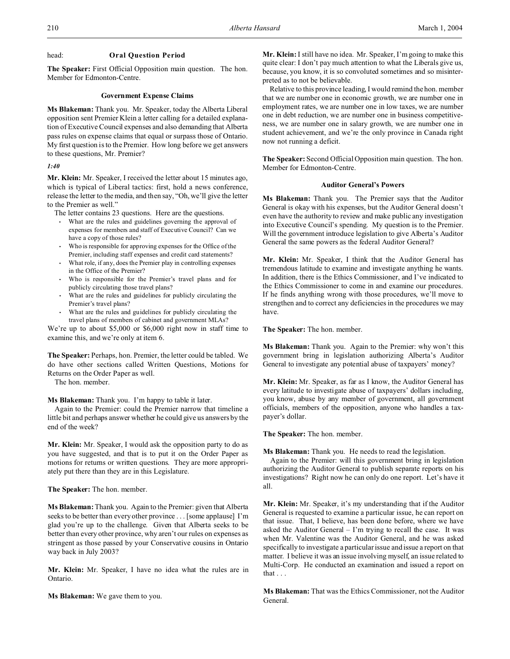# head: **Oral Question Period**

**The Speaker:** First Official Opposition main question. The hon. Member for Edmonton-Centre.

## **Government Expense Claims**

**Ms Blakeman:** Thank you. Mr. Speaker, today the Alberta Liberal opposition sent Premier Klein a letter calling for a detailed explanation of Executive Council expenses and also demanding that Alberta pass rules on expense claims that equal or surpass those of Ontario. My first question is to the Premier. How long before we get answers to these questions, Mr. Premier?

# *1:40*

**Mr. Klein:** Mr. Speaker, I received the letter about 15 minutes ago, which is typical of Liberal tactics: first, hold a news conference, release the letter to the media, and then say, "Oh, we'll give the letter to the Premier as well."

The letter contains 23 questions. Here are the questions.

- What are the rules and guidelines governing the approval of expenses for members and staff of Executive Council? Can we have a copy of those rules?
- Who is responsible for approving expenses for the Office of the Premier, including staff expenses and credit card statements?
- What role, if any, does the Premier play in controlling expenses in the Office of the Premier?
- Who is responsible for the Premier's travel plans and for publicly circulating those travel plans?
- What are the rules and guidelines for publicly circulating the Premier's travel plans?
- What are the rules and guidelines for publicly circulating the travel plans of members of cabinet and government MLAs?

We're up to about \$5,000 or \$6,000 right now in staff time to examine this, and we're only at item 6.

**The Speaker:** Perhaps, hon. Premier, the letter could be tabled. We do have other sections called Written Questions, Motions for Returns on the Order Paper as well.

The hon. member.

**Ms Blakeman:** Thank you. I'm happy to table it later.

Again to the Premier: could the Premier narrow that timeline a little bit and perhaps answer whether he could give us answers by the end of the week?

**Mr. Klein:** Mr. Speaker, I would ask the opposition party to do as you have suggested, and that is to put it on the Order Paper as motions for returns or written questions. They are more appropriately put there than they are in this Legislature.

**The Speaker:** The hon. member.

**Ms Blakeman:** Thank you. Again to the Premier: given that Alberta seeks to be better than every other province . . . [some applause] I'm glad you're up to the challenge. Given that Alberta seeks to be better than every other province, why aren't our rules on expenses as stringent as those passed by your Conservative cousins in Ontario way back in July 2003?

**Mr. Klein:** Mr. Speaker, I have no idea what the rules are in Ontario.

**Ms Blakeman:** We gave them to you.

**Mr. Klein:** I still have no idea. Mr. Speaker, I'm going to make this quite clear: I don't pay much attention to what the Liberals give us, because, you know, it is so convoluted sometimes and so misinterpreted as to not be believable.

Relative to this province leading, I would remind the hon. member that we are number one in economic growth, we are number one in employment rates, we are number one in low taxes, we are number one in debt reduction, we are number one in business competitiveness, we are number one in salary growth, we are number one in student achievement, and we're the only province in Canada right now not running a deficit.

**The Speaker:** Second Official Opposition main question. The hon. Member for Edmonton-Centre.

# **Auditor General's Powers**

**Ms Blakeman:** Thank you. The Premier says that the Auditor General is okay with his expenses, but the Auditor General doesn't even have the authority to review and make public any investigation into Executive Council's spending. My question is to the Premier. Will the government introduce legislation to give Alberta's Auditor General the same powers as the federal Auditor General?

**Mr. Klein:** Mr. Speaker, I think that the Auditor General has tremendous latitude to examine and investigate anything he wants. In addition, there is the Ethics Commissioner, and I've indicated to the Ethics Commissioner to come in and examine our procedures. If he finds anything wrong with those procedures, we'll move to strengthen and to correct any deficiencies in the procedures we may have.

**The Speaker:** The hon. member.

**Ms Blakeman:** Thank you. Again to the Premier: why won't this government bring in legislation authorizing Alberta's Auditor General to investigate any potential abuse of taxpayers' money?

**Mr. Klein:** Mr. Speaker, as far as I know, the Auditor General has every latitude to investigate abuse of taxpayers' dollars including, you know, abuse by any member of government, all government officials, members of the opposition, anyone who handles a taxpayer's dollar.

**The Speaker:** The hon. member.

**Ms Blakeman:** Thank you. He needs to read the legislation.

Again to the Premier: will this government bring in legislation authorizing the Auditor General to publish separate reports on his investigations? Right now he can only do one report. Let's have it all.

**Mr. Klein:** Mr. Speaker, it's my understanding that if the Auditor General is requested to examine a particular issue, he can report on that issue. That, I believe, has been done before, where we have asked the Auditor General – I'm trying to recall the case. It was when Mr. Valentine was the Auditor General, and he was asked specifically to investigate a particular issue and issue a report on that matter. I believe it was an issue involving myself, an issue related to Multi-Corp. He conducted an examination and issued a report on that . . .

**Ms Blakeman:** That was the Ethics Commissioner, not the Auditor General.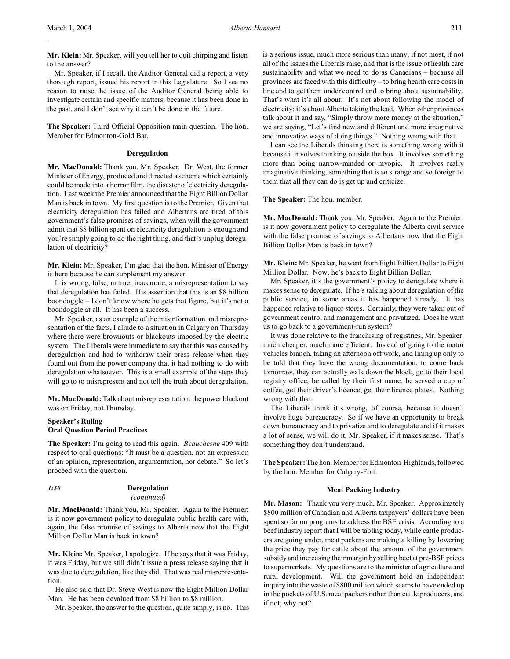**Mr. Klein:** Mr. Speaker, will you tell her to quit chirping and listen to the answer?

Mr. Speaker, if I recall, the Auditor General did a report, a very thorough report, issued his report in this Legislature. So I see no reason to raise the issue of the Auditor General being able to investigate certain and specific matters, because it has been done in the past, and I don't see why it can't be done in the future.

**The Speaker:** Third Official Opposition main question. The hon. Member for Edmonton-Gold Bar.

# **Deregulation**

**Mr. MacDonald:** Thank you, Mr. Speaker. Dr. West, the former Minister of Energy, produced and directed a scheme which certainly could be made into a horror film, the disaster of electricity deregulation. Last week the Premier announced that the Eight Billion Dollar Man is back in town. My first question is to the Premier. Given that electricity deregulation has failed and Albertans are tired of this government's false promises of savings, when will the government admit that \$8 billion spent on electricity deregulation is enough and you're simply going to do the right thing, and that's unplug deregulation of electricity?

**Mr. Klein:** Mr. Speaker, I'm glad that the hon. Minister of Energy is here because he can supplement my answer.

It is wrong, false, untrue, inaccurate, a misrepresentation to say that deregulation has failed. His assertion that this is an \$8 billion boondoggle – I don't know where he gets that figure, but it's not a boondoggle at all. It has been a success.

Mr. Speaker, as an example of the misinformation and misrepresentation of the facts, I allude to a situation in Calgary on Thursday where there were brownouts or blackouts imposed by the electric system. The Liberals were immediate to say that this was caused by deregulation and had to withdraw their press release when they found out from the power company that it had nothing to do with deregulation whatsoever. This is a small example of the steps they will go to to misrepresent and not tell the truth about deregulation.

**Mr. MacDonald:** Talk about misrepresentation: the power blackout was on Friday, not Thursday.

# **Speaker's Ruling Oral Question Period Practices**

**The Speaker:** I'm going to read this again. *Beauchesne* 409 with respect to oral questions: "It must be a question, not an expression of an opinion, representation, argumentation, nor debate." So let's proceed with the question.

| 1:50 | <b>Deregulation</b> |
|------|---------------------|
|      |                     |

#### *(continued)*

**Mr. MacDonald:** Thank you, Mr. Speaker. Again to the Premier: is it now government policy to deregulate public health care with, again, the false promise of savings to Alberta now that the Eight Million Dollar Man is back in town?

**Mr. Klein:** Mr. Speaker, I apologize. If he says that it was Friday, it was Friday, but we still didn't issue a press release saying that it was due to deregulation, like they did. That was real misrepresentation.

He also said that Dr. Steve West is now the Eight Million Dollar Man. He has been devalued from \$8 billion to \$8 million.

Mr. Speaker, the answer to the question, quite simply, is no. This

is a serious issue, much more serious than many, if not most, if not all of the issues the Liberals raise, and that is the issue of health care sustainability and what we need to do as Canadians – because all provinces are faced with this difficulty – to bring health care costs in line and to get them under control and to bring about sustainability. That's what it's all about. It's not about following the model of electricity; it's about Alberta taking the lead. When other provinces talk about it and say, "Simply throw more money at the situation," we are saying, "Let's find new and different and more imaginative and innovative ways of doing things." Nothing wrong with that.

I can see the Liberals thinking there is something wrong with it because it involves thinking outside the box. It involves something more than being narrow-minded or myopic. It involves really imaginative thinking, something that is so strange and so foreign to them that all they can do is get up and criticize.

**The Speaker:** The hon. member.

**Mr. MacDonald:** Thank you, Mr. Speaker. Again to the Premier: is it now government policy to deregulate the Alberta civil service with the false promise of savings to Albertans now that the Eight Billion Dollar Man is back in town?

**Mr. Klein:** Mr. Speaker, he went from Eight Billion Dollar to Eight Million Dollar. Now, he's back to Eight Billion Dollar.

Mr. Speaker, it's the government's policy to deregulate where it makes sense to deregulate. If he's talking about deregulation of the public service, in some areas it has happened already. It has happened relative to liquor stores. Certainly, they were taken out of government control and management and privatized. Does he want us to go back to a government-run system?

It was done relative to the franchising of registries, Mr. Speaker: much cheaper, much more efficient. Instead of going to the motor vehicles branch, taking an afternoon off work, and lining up only to be told that they have the wrong documentation, to come back tomorrow, they can actually walk down the block, go to their local registry office, be called by their first name, be served a cup of coffee, get their driver's licence, get their licence plates. Nothing wrong with that.

The Liberals think it's wrong, of course, because it doesn't involve huge bureaucracy. So if we have an opportunity to break down bureaucracy and to privatize and to deregulate and if it makes a lot of sense, we will do it, Mr. Speaker, if it makes sense. That's something they don't understand.

**The Speaker:** The hon. Member for Edmonton-Highlands, followed by the hon. Member for Calgary-Fort.

## **Meat Packing Industry**

**Mr. Mason:** Thank you very much, Mr. Speaker. Approximately \$800 million of Canadian and Alberta taxpayers' dollars have been spent so far on programs to address the BSE crisis. According to a beef industry report that I will be tabling today, while cattle producers are going under, meat packers are making a killing by lowering the price they pay for cattle about the amount of the government subsidy and increasing their margin by selling beef at pre-BSE prices to supermarkets. My questions are to the minister of agriculture and rural development. Will the government hold an independent inquiry into the waste of \$800 million which seems to have ended up in the pockets of U.S. meat packers rather than cattle producers, and if not, why not?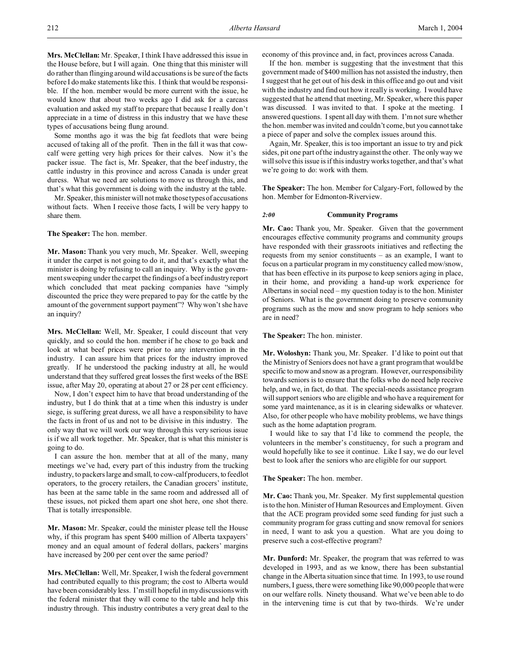**Mrs. McClellan:** Mr. Speaker, I think I have addressed this issue in the House before, but I will again. One thing that this minister will do rather than flinging around wild accusations is be sure of the facts before I do make statements like this. I think that would be responsible. If the hon. member would be more current with the issue, he would know that about two weeks ago I did ask for a carcass evaluation and asked my staff to prepare that because I really don't appreciate in a time of distress in this industry that we have these types of accusations being flung around.

Some months ago it was the big fat feedlots that were being accused of taking all of the profit. Then in the fall it was that cowcalf were getting very high prices for their calves. Now it's the packer issue. The fact is, Mr. Speaker, that the beef industry, the cattle industry in this province and across Canada is under great duress. What we need are solutions to move us through this, and that's what this government is doing with the industry at the table.

Mr. Speaker, this minister will not make those types of accusations without facts. When I receive those facts, I will be very happy to share them.

**The Speaker:** The hon. member.

**Mr. Mason:** Thank you very much, Mr. Speaker. Well, sweeping it under the carpet is not going to do it, and that's exactly what the minister is doing by refusing to call an inquiry. Why is the government sweeping under the carpet the findings of a beef industry report which concluded that meat packing companies have "simply discounted the price they were prepared to pay for the cattle by the amount of the government support payment"? Why won't she have an inquiry?

**Mrs. McClellan:** Well, Mr. Speaker, I could discount that very quickly, and so could the hon. member if he chose to go back and look at what beef prices were prior to any intervention in the industry. I can assure him that prices for the industry improved greatly. If he understood the packing industry at all, he would understand that they suffered great losses the first weeks of the BSE issue, after May 20, operating at about 27 or 28 per cent efficiency.

Now, I don't expect him to have that broad understanding of the industry, but I do think that at a time when this industry is under siege, is suffering great duress, we all have a responsibility to have the facts in front of us and not to be divisive in this industry. The only way that we will work our way through this very serious issue is if we all work together. Mr. Speaker, that is what this minister is going to do.

I can assure the hon. member that at all of the many, many meetings we've had, every part of this industry from the trucking industry, to packers large and small, to cow-calf producers, to feedlot operators, to the grocery retailers, the Canadian grocers' institute, has been at the same table in the same room and addressed all of these issues, not picked them apart one shot here, one shot there. That is totally irresponsible.

**Mr. Mason:** Mr. Speaker, could the minister please tell the House why, if this program has spent \$400 million of Alberta taxpayers' money and an equal amount of federal dollars, packers' margins have increased by 200 per cent over the same period?

**Mrs. McClellan:** Well, Mr. Speaker, I wish the federal government had contributed equally to this program; the cost to Alberta would have been considerably less. I'm still hopeful in my discussions with the federal minister that they will come to the table and help this industry through. This industry contributes a very great deal to the economy of this province and, in fact, provinces across Canada.

If the hon. member is suggesting that the investment that this government made of \$400 million has not assisted the industry, then I suggest that he get out of his desk in this office and go out and visit with the industry and find out how it really is working. I would have suggested that he attend that meeting, Mr. Speaker, where this paper was discussed. I was invited to that. I spoke at the meeting. I answered questions. I spent all day with them. I'm not sure whether the hon. member was invited and couldn't come, but you cannot take a piece of paper and solve the complex issues around this.

Again, Mr. Speaker, this is too important an issue to try and pick sides, pit one part of the industry against the other. The only way we will solve this issue is if this industry works together, and that's what we're going to do: work with them.

**The Speaker:** The hon. Member for Calgary-Fort, followed by the hon. Member for Edmonton-Riverview.

### *2:00* **Community Programs**

**Mr. Cao:** Thank you, Mr. Speaker. Given that the government encourages effective community programs and community groups have responded with their grassroots initiatives and reflecting the requests from my senior constituents – as an example, I want to focus on a particular program in my constituency called mow/snow, that has been effective in its purpose to keep seniors aging in place, in their home, and providing a hand-up work experience for Albertans in social need – my question today is to the hon. Minister of Seniors. What is the government doing to preserve community programs such as the mow and snow program to help seniors who are in need?

**The Speaker:** The hon. minister.

**Mr. Woloshyn:** Thank you, Mr. Speaker. I'd like to point out that the Ministry of Seniors does not have a grant program that would be specific to mow and snow as a program. However, our responsibility towards seniors is to ensure that the folks who do need help receive help, and we, in fact, do that. The special-needs assistance program will support seniors who are eligible and who have a requirement for some yard maintenance, as it is in clearing sidewalks or whatever. Also, for other people who have mobility problems, we have things such as the home adaptation program.

I would like to say that I'd like to commend the people, the volunteers in the member's constituency, for such a program and would hopefully like to see it continue. Like I say, we do our level best to look after the seniors who are eligible for our support.

**The Speaker:** The hon. member.

**Mr. Cao:** Thank you, Mr. Speaker. My first supplemental question is to the hon. Minister of Human Resources and Employment. Given that the ACE program provided some seed funding for just such a community program for grass cutting and snow removal for seniors in need, I want to ask you a question. What are you doing to preserve such a cost-effective program?

**Mr. Dunford:** Mr. Speaker, the program that was referred to was developed in 1993, and as we know, there has been substantial change in the Alberta situation since that time. In 1993, to use round numbers, I guess, there were something like 90,000 people that were on our welfare rolls. Ninety thousand. What we've been able to do in the intervening time is cut that by two-thirds. We're under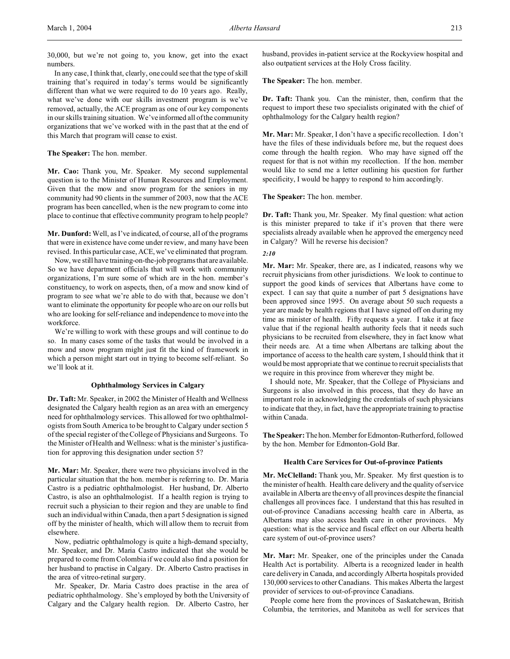30,000, but we're not going to, you know, get into the exact numbers.

In any case, I think that, clearly, one could see that the type of skill training that's required in today's terms would be significantly different than what we were required to do 10 years ago. Really, what we've done with our skills investment program is we've removed, actually, the ACE program as one of our key components in our skills training situation. We've informed all of the community organizations that we've worked with in the past that at the end of this March that program will cease to exist.

# **The Speaker:** The hon. member.

**Mr. Cao:** Thank you, Mr. Speaker. My second supplemental question is to the Minister of Human Resources and Employment. Given that the mow and snow program for the seniors in my community had 90 clients in the summer of 2003, now that the ACE program has been cancelled, when is the new program to come into place to continue that effective community program to help people?

**Mr. Dunford:** Well, as I've indicated, of course, all of the programs that were in existence have come under review, and many have been revised. In this particular case, ACE, we've eliminated that program.

Now, we still have training-on-the-job programs that are available. So we have department officials that will work with community organizations, I'm sure some of which are in the hon. member's constituency, to work on aspects, then, of a mow and snow kind of program to see what we're able to do with that, because we don't want to eliminate the opportunity for people who are on our rolls but who are looking for self-reliance and independence to move into the workforce.

We're willing to work with these groups and will continue to do so. In many cases some of the tasks that would be involved in a mow and snow program might just fit the kind of framework in which a person might start out in trying to become self-reliant. So we'll look at it.

# **Ophthalmology Services in Calgary**

**Dr. Taft:** Mr. Speaker, in 2002 the Minister of Health and Wellness designated the Calgary health region as an area with an emergency need for ophthalmology services. This allowed for two ophthalmologists from South America to be brought to Calgary under section 5 of the special register of the College of Physicians and Surgeons. To the Minister of Health and Wellness: what is the minister's justification for approving this designation under section 5?

**Mr. Mar:** Mr. Speaker, there were two physicians involved in the particular situation that the hon. member is referring to. Dr. Maria Castro is a pediatric ophthalmologist. Her husband, Dr. Alberto Castro, is also an ophthalmologist. If a health region is trying to recruit such a physician to their region and they are unable to find such an individual within Canada, then a part 5 designation is signed off by the minister of health, which will allow them to recruit from elsewhere.

Now, pediatric ophthalmology is quite a high-demand specialty, Mr. Speaker, and Dr. Maria Castro indicated that she would be prepared to come from Colombia if we could also find a position for her husband to practise in Calgary. Dr. Alberto Castro practises in the area of vitreo-retinal surgery.

Mr. Speaker, Dr. Maria Castro does practise in the area of pediatric ophthalmology. She's employed by both the University of Calgary and the Calgary health region. Dr. Alberto Castro, her

husband, provides in-patient service at the Rockyview hospital and also outpatient services at the Holy Cross facility.

**The Speaker:** The hon. member.

**Dr. Taft:** Thank you. Can the minister, then, confirm that the request to import these two specialists originated with the chief of ophthalmology for the Calgary health region?

**Mr. Mar:** Mr. Speaker, I don't have a specific recollection. I don't have the files of these individuals before me, but the request does come through the health region. Who may have signed off the request for that is not within my recollection. If the hon. member would like to send me a letter outlining his question for further specificity, I would be happy to respond to him accordingly.

# **The Speaker:** The hon. member.

**Dr. Taft:** Thank you, Mr. Speaker. My final question: what action is this minister prepared to take if it's proven that there were specialists already available when he approved the emergency need in Calgary? Will he reverse his decision?

## *2:10*

**Mr. Mar:** Mr. Speaker, there are, as I indicated, reasons why we recruit physicians from other jurisdictions. We look to continue to support the good kinds of services that Albertans have come to expect. I can say that quite a number of part 5 designations have been approved since 1995. On average about 50 such requests a year are made by health regions that I have signed off on during my time as minister of health. Fifty requests a year. I take it at face value that if the regional health authority feels that it needs such physicians to be recruited from elsewhere, they in fact know what their needs are. At a time when Albertans are talking about the importance of access to the health care system, I should think that it would be most appropriate that we continue to recruit specialists that we require in this province from wherever they might be.

I should note, Mr. Speaker, that the College of Physicians and Surgeons is also involved in this process, that they do have an important role in acknowledging the credentials of such physicians to indicate that they, in fact, have the appropriate training to practise within Canada.

The Speaker: The hon. Member for Edmonton-Rutherford, followed by the hon. Member for Edmonton-Gold Bar.

# **Health Care Services for Out-of-province Patients**

**Mr. McClelland:** Thank you, Mr. Speaker. My first question is to the minister of health. Health care delivery and the quality of service available in Alberta are the envy of all provinces despite the financial challenges all provinces face. I understand that this has resulted in out-of-province Canadians accessing health care in Alberta, as Albertans may also access health care in other provinces. My question: what is the service and fiscal effect on our Alberta health care system of out-of-province users?

**Mr. Mar:** Mr. Speaker, one of the principles under the Canada Health Act is portability. Alberta is a recognized leader in health care delivery in Canada, and accordingly Alberta hospitals provided 130,000 services to other Canadians. This makes Alberta the largest provider of services to out-of-province Canadians.

People come here from the provinces of Saskatchewan, British Columbia, the territories, and Manitoba as well for services that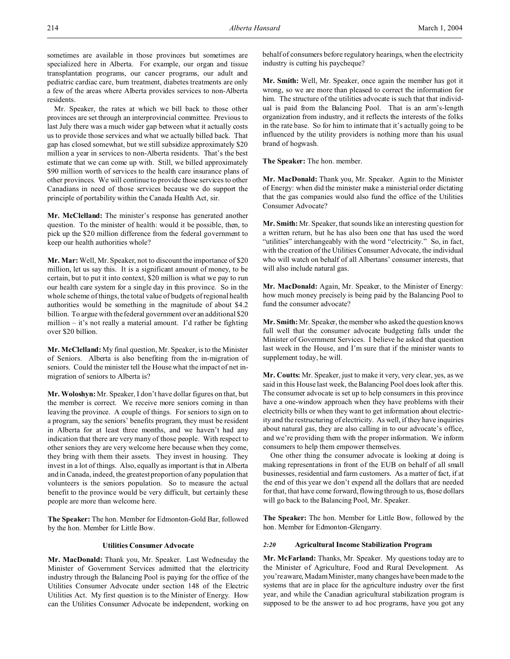sometimes are available in those provinces but sometimes are specialized here in Alberta. For example, our organ and tissue transplantation programs, our cancer programs, our adult and pediatric cardiac care, burn treatment, diabetes treatments are only a few of the areas where Alberta provides services to non-Alberta residents.

Mr. Speaker, the rates at which we bill back to those other provinces are set through an interprovincial committee. Previous to last July there was a much wider gap between what it actually costs us to provide those services and what we actually billed back. That gap has closed somewhat, but we still subsidize approximately \$20 million a year in services to non-Alberta residents. That's the best estimate that we can come up with. Still, we billed approximately \$90 million worth of services to the health care insurance plans of other provinces. We will continue to provide those services to other Canadians in need of those services because we do support the principle of portability within the Canada Health Act, sir.

**Mr. McClelland:** The minister's response has generated another question. To the minister of health: would it be possible, then, to pick up the \$20 million difference from the federal government to keep our health authorities whole?

**Mr. Mar:** Well, Mr. Speaker, not to discount the importance of \$20 million, let us say this. It is a significant amount of money, to be certain, but to put it into context, \$20 million is what we pay to run our health care system for a single day in this province. So in the whole scheme of things, the total value of budgets of regional health authorities would be something in the magnitude of about \$4.2 billion. To argue with the federal government over an additional \$20 million – it's not really a material amount. I'd rather be fighting over \$20 billion.

**Mr. McClelland:** My final question, Mr. Speaker, is to the Minister of Seniors. Alberta is also benefiting from the in-migration of seniors. Could the minister tell the House what the impact of net inmigration of seniors to Alberta is?

**Mr. Woloshyn:** Mr. Speaker, I don't have dollar figures on that, but the member is correct. We receive more seniors coming in than leaving the province. A couple of things. For seniors to sign on to a program, say the seniors' benefits program, they must be resident in Alberta for at least three months, and we haven't had any indication that there are very many of those people. With respect to other seniors they are very welcome here because when they come, they bring with them their assets. They invest in housing. They invest in a lot of things. Also, equally as important is that in Alberta and in Canada, indeed, the greatest proportion of any population that volunteers is the seniors population. So to measure the actual benefit to the province would be very difficult, but certainly these people are more than welcome here.

**The Speaker:** The hon. Member for Edmonton-Gold Bar, followed by the hon. Member for Little Bow.

# **Utilities Consumer Advocate**

**Mr. MacDonald:** Thank you, Mr. Speaker. Last Wednesday the Minister of Government Services admitted that the electricity industry through the Balancing Pool is paying for the office of the Utilities Consumer Advocate under section 148 of the Electric Utilities Act. My first question is to the Minister of Energy. How can the Utilities Consumer Advocate be independent, working on behalf of consumers before regulatory hearings, when the electricity industry is cutting his paycheque?

**Mr. Smith:** Well, Mr. Speaker, once again the member has got it wrong, so we are more than pleased to correct the information for him. The structure of the utilities advocate is such that that individual is paid from the Balancing Pool. That is an arm's-length organization from industry, and it reflects the interests of the folks in the rate base. So for him to intimate that it's actually going to be influenced by the utility providers is nothing more than his usual brand of hogwash.

**The Speaker:** The hon. member.

**Mr. MacDonald:** Thank you, Mr. Speaker. Again to the Minister of Energy: when did the minister make a ministerial order dictating that the gas companies would also fund the office of the Utilities Consumer Advocate?

**Mr. Smith:** Mr. Speaker, that sounds like an interesting question for a written return, but he has also been one that has used the word "utilities" interchangeably with the word "electricity." So, in fact, with the creation of the Utilities Consumer Advocate, the individual who will watch on behalf of all Albertans' consumer interests, that will also include natural gas.

**Mr. MacDonald:** Again, Mr. Speaker, to the Minister of Energy: how much money precisely is being paid by the Balancing Pool to fund the consumer advocate?

**Mr. Smith:** Mr. Speaker, the member who asked the question knows full well that the consumer advocate budgeting falls under the Minister of Government Services. I believe he asked that question last week in the House, and I'm sure that if the minister wants to supplement today, he will.

**Mr. Coutts:** Mr. Speaker, just to make it very, very clear, yes, as we said in this House last week, the Balancing Pool does look after this. The consumer advocate is set up to help consumers in this province have a one-window approach when they have problems with their electricity bills or when they want to get information about electricity and the restructuring of electricity. As well, if they have inquiries about natural gas, they are also calling in to our advocate's office, and we're providing them with the proper information. We inform consumers to help them empower themselves.

One other thing the consumer advocate is looking at doing is making representations in front of the EUB on behalf of all small businesses, residential and farm customers. As a matter of fact, if at the end of this year we don't expend all the dollars that are needed for that, that have come forward, flowing through to us, those dollars will go back to the Balancing Pool, Mr. Speaker.

**The Speaker:** The hon. Member for Little Bow, followed by the hon. Member for Edmonton-Glengarry.

# *2:20* **Agricultural Income Stabilization Program**

**Mr. McFarland:** Thanks, Mr. Speaker. My questions today are to the Minister of Agriculture, Food and Rural Development. As you're aware, Madam Minister, many changes have been made to the systems that are in place for the agriculture industry over the first year, and while the Canadian agricultural stabilization program is supposed to be the answer to ad hoc programs, have you got any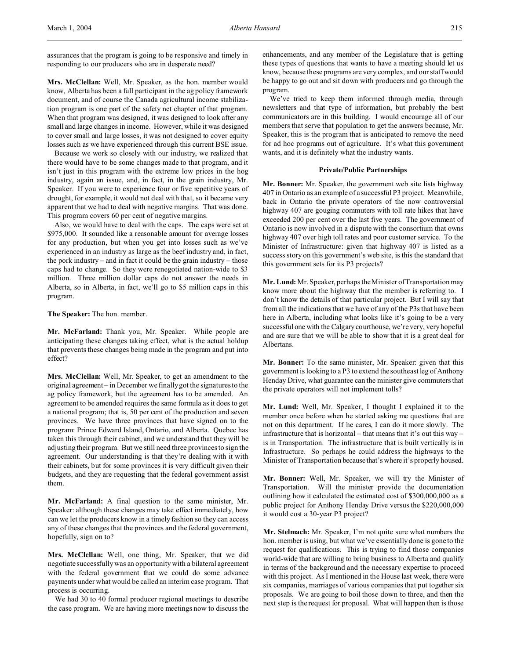assurances that the program is going to be responsive and timely in responding to our producers who are in desperate need?

**Mrs. McClellan:** Well, Mr. Speaker, as the hon. member would know, Alberta has been a full participant in the ag policy framework document, and of course the Canada agricultural income stabilization program is one part of the safety net chapter of that program. When that program was designed, it was designed to look after any small and large changes in income. However, while it was designed to cover small and large losses, it was not designed to cover equity losses such as we have experienced through this current BSE issue.

Because we work so closely with our industry, we realized that there would have to be some changes made to that program, and it isn't just in this program with the extreme low prices in the hog industry, again an issue, and, in fact, in the grain industry, Mr. Speaker. If you were to experience four or five repetitive years of drought, for example, it would not deal with that, so it became very apparent that we had to deal with negative margins. That was done. This program covers 60 per cent of negative margins.

Also, we would have to deal with the caps. The caps were set at \$975,000. It sounded like a reasonable amount for average losses for any production, but when you get into losses such as we've experienced in an industry as large as the beef industry and, in fact, the pork industry – and in fact it could be the grain industry – those caps had to change. So they were renegotiated nation-wide to \$3 million. Three million dollar caps do not answer the needs in Alberta, so in Alberta, in fact, we'll go to \$5 million caps in this program.

**The Speaker:** The hon. member.

**Mr. McFarland:** Thank you, Mr. Speaker. While people are anticipating these changes taking effect, what is the actual holdup that prevents these changes being made in the program and put into effect?

**Mrs. McClellan:** Well, Mr. Speaker, to get an amendment to the original agreement – in December we finally got the signatures to the ag policy framework, but the agreement has to be amended. An agreement to be amended requires the same formula as it does to get a national program; that is, 50 per cent of the production and seven provinces. We have three provinces that have signed on to the program: Prince Edward Island, Ontario, and Alberta. Quebec has taken this through their cabinet, and we understand that they will be adjusting their program. But we still need three provinces to sign the agreement. Our understanding is that they're dealing with it with their cabinets, but for some provinces it is very difficult given their budgets, and they are requesting that the federal government assist them.

**Mr. McFarland:** A final question to the same minister, Mr. Speaker: although these changes may take effect immediately, how can we let the producers know in a timely fashion so they can access any of these changes that the provinces and the federal government, hopefully, sign on to?

**Mrs. McClellan:** Well, one thing, Mr. Speaker, that we did negotiate successfully was an opportunity with a bilateral agreement with the federal government that we could do some advance payments under what would be called an interim case program. That process is occurring.

We had 30 to 40 formal producer regional meetings to describe the case program. We are having more meetings now to discuss the

enhancements, and any member of the Legislature that is getting these types of questions that wants to have a meeting should let us know, because these programs are very complex, and our staff would be happy to go out and sit down with producers and go through the program.

We've tried to keep them informed through media, through newsletters and that type of information, but probably the best communicators are in this building. I would encourage all of our members that serve that population to get the answers because, Mr. Speaker, this is the program that is anticipated to remove the need for ad hoc programs out of agriculture. It's what this government wants, and it is definitely what the industry wants.

### **Private/Public Partnerships**

**Mr. Bonner:** Mr. Speaker, the government web site lists highway 407 in Ontario as an example of a successful P3 project. Meanwhile, back in Ontario the private operators of the now controversial highway 407 are gouging commuters with toll rate hikes that have exceeded 200 per cent over the last five years. The government of Ontario is now involved in a dispute with the consortium that owns highway 407 over high toll rates and poor customer service. To the Minister of Infrastructure: given that highway 407 is listed as a success story on this government's web site, is this the standard that this government sets for its P3 projects?

**Mr. Lund:** Mr. Speaker, perhaps the Minister of Transportation may know more about the highway that the member is referring to. I don't know the details of that particular project. But I will say that from all the indications that we have of any of the P3s that have been here in Alberta, including what looks like it's going to be a very successful one with the Calgary courthouse, we're very, very hopeful and are sure that we will be able to show that it is a great deal for Albertans.

**Mr. Bonner:** To the same minister, Mr. Speaker: given that this government is looking to a P3 to extend the southeast leg of Anthony Henday Drive, what guarantee can the minister give commuters that the private operators will not implement tolls?

**Mr. Lund:** Well, Mr. Speaker, I thought I explained it to the member once before when he started asking me questions that are not on this department. If he cares, I can do it more slowly. The infrastructure that is horizontal – that means that it's out this way – is in Transportation. The infrastructure that is built vertically is in Infrastructure. So perhaps he could address the highways to the Minister of Transportation because that's where it's properly housed.

**Mr. Bonner:** Well, Mr. Speaker, we will try the Minister of Transportation. Will the minister provide the documentation outlining how it calculated the estimated cost of \$300,000,000 as a public project for Anthony Henday Drive versus the \$220,000,000 it would cost a 30-year P3 project?

**Mr. Stelmach:** Mr. Speaker, I'm not quite sure what numbers the hon. member is using, but what we've essentially done is gone to the request for qualifications. This is trying to find those companies world-wide that are willing to bring business to Alberta and qualify in terms of the background and the necessary expertise to proceed with this project. As I mentioned in the House last week, there were six companies, marriages of various companies that put together six proposals. We are going to boil those down to three, and then the next step is the request for proposal. What will happen then is those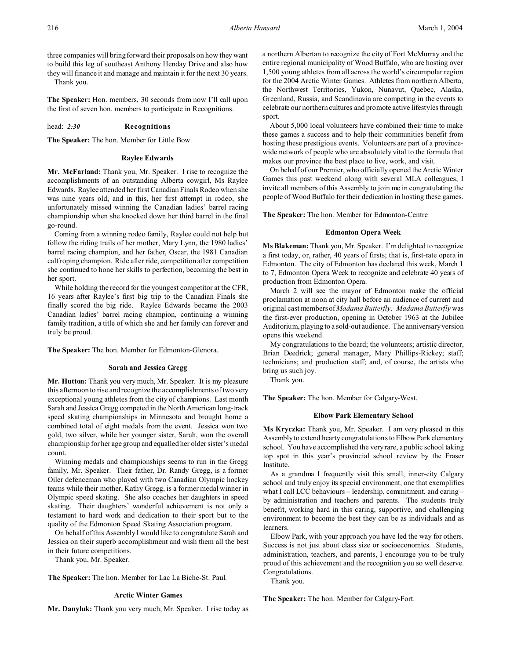three companies will bring forward their proposals on how they want to build this leg of southeast Anthony Henday Drive and also how they will finance it and manage and maintain it for the next 30 years.

Thank you.

**The Speaker:** Hon. members, 30 seconds from now I'll call upon the first of seven hon. members to participate in Recognitions.

### head: *2:30* **Recognitions**

**The Speaker:** The hon. Member for Little Bow.

### **Raylee Edwards**

**Mr. McFarland:** Thank you, Mr. Speaker. I rise to recognize the accomplishments of an outstanding Alberta cowgirl, Ms Raylee Edwards. Raylee attended her first Canadian Finals Rodeo when she was nine years old, and in this, her first attempt in rodeo, she unfortunately missed winning the Canadian ladies' barrel racing championship when she knocked down her third barrel in the final go-round.

Coming from a winning rodeo family, Raylee could not help but follow the riding trails of her mother, Mary Lynn, the 1980 ladies' barrel racing champion, and her father, Oscar, the 1981 Canadian calf roping champion. Ride after ride, competition after competition she continued to hone her skills to perfection, becoming the best in her sport.

While holding the record for the youngest competitor at the CFR, 16 years after Raylee's first big trip to the Canadian Finals she finally scored the big ride. Raylee Edwards became the 2003 Canadian ladies' barrel racing champion, continuing a winning family tradition, a title of which she and her family can forever and truly be proud.

**The Speaker:** The hon. Member for Edmonton-Glenora.

#### **Sarah and Jessica Gregg**

**Mr. Hutton:** Thank you very much, Mr. Speaker. It is my pleasure this afternoon to rise and recognize the accomplishments of two very exceptional young athletes from the city of champions. Last month Sarah and Jessica Gregg competed in the North American long-track speed skating championships in Minnesota and brought home a combined total of eight medals from the event. Jessica won two gold, two silver, while her younger sister, Sarah, won the overall championship for her age group and equalled her older sister's medal count.

Winning medals and championships seems to run in the Gregg family, Mr. Speaker. Their father, Dr. Randy Gregg, is a former Oiler defenceman who played with two Canadian Olympic hockey teams while their mother, Kathy Gregg, is a former medal winner in Olympic speed skating. She also coaches her daughters in speed skating. Their daughters' wonderful achievement is not only a testament to hard work and dedication to their sport but to the quality of the Edmonton Speed Skating Association program.

On behalf of this Assembly I would like to congratulate Sarah and Jessica on their superb accomplishment and wish them all the best in their future competitions.

Thank you, Mr. Speaker.

**The Speaker:** The hon. Member for Lac La Biche-St. Paul.

### **Arctic Winter Games**

**Mr. Danyluk:** Thank you very much, Mr. Speaker. I rise today as

a northern Albertan to recognize the city of Fort McMurray and the entire regional municipality of Wood Buffalo, who are hosting over 1,500 young athletes from all across the world's circumpolar region for the 2004 Arctic Winter Games. Athletes from northern Alberta, the Northwest Territories, Yukon, Nunavut, Quebec, Alaska, Greenland, Russia, and Scandinavia are competing in the events to celebrate our northern cultures and promote active lifestyles through sport.

About 5,000 local volunteers have combined their time to make these games a success and to help their communities benefit from hosting these prestigious events. Volunteers are part of a provincewide network of people who are absolutely vital to the formula that makes our province the best place to live, work, and visit.

On behalf of our Premier, who officially opened the Arctic Winter Games this past weekend along with several MLA colleagues, I invite all members of this Assembly to join me in congratulating the people of Wood Buffalo for their dedication in hosting these games.

**The Speaker:** The hon. Member for Edmonton-Centre

### **Edmonton Opera Week**

**Ms Blakeman:** Thank you, Mr. Speaker. I'm delighted to recognize a first today, or, rather, 40 years of firsts; that is, first-rate opera in Edmonton. The city of Edmonton has declared this week, March 1 to 7, Edmonton Opera Week to recognize and celebrate 40 years of production from Edmonton Opera.

March 2 will see the mayor of Edmonton make the official proclamation at noon at city hall before an audience of current and original cast members of *Madama Butterfly*. *Madama Butterfly* was the first-ever production, opening in October 1963 at the Jubilee Auditorium, playing to a sold-out audience. The anniversary version opens this weekend.

My congratulations to the board; the volunteers; artistic director, Brian Deedrick; general manager, Mary Phillips-Rickey; staff; technicians; and production staff; and, of course, the artists who bring us such joy.

Thank you.

**The Speaker:** The hon. Member for Calgary-West.

## **Elbow Park Elementary School**

**Ms Kryczka:** Thank you, Mr. Speaker. I am very pleased in this Assembly to extend hearty congratulations to Elbow Park elementary school. You have accomplished the very rare, a public school taking top spot in this year's provincial school review by the Fraser Institute.

As a grandma I frequently visit this small, inner-city Calgary school and truly enjoy its special environment, one that exemplifies what I call LCC behaviours – leadership, commitment, and caring – by administration and teachers and parents. The students truly benefit, working hard in this caring, supportive, and challenging environment to become the best they can be as individuals and as learners.

Elbow Park, with your approach you have led the way for others. Success is not just about class size or socioeconomics. Students, administration, teachers, and parents, I encourage you to be truly proud of this achievement and the recognition you so well deserve. Congratulations.

Thank you.

**The Speaker:** The hon. Member for Calgary-Fort.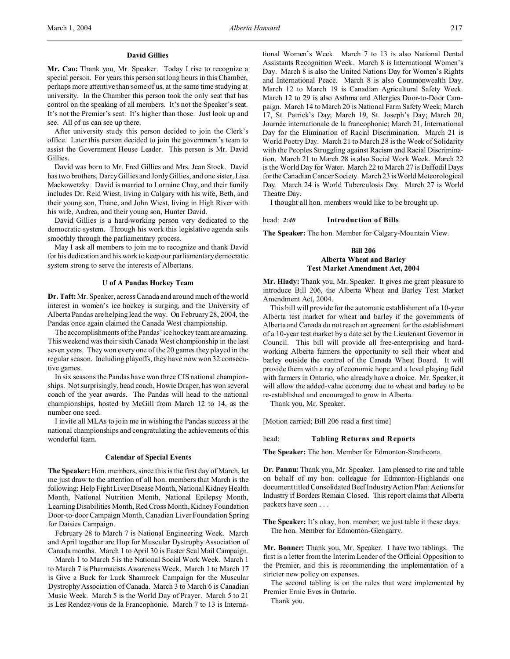## **David Gillies**

**Mr. Cao:** Thank you, Mr. Speaker. Today I rise to recognize a special person. For years this person sat long hours in this Chamber, perhaps more attentive than some of us, at the same time studying at university. In the Chamber this person took the only seat that has control on the speaking of all members. It's not the Speaker's seat. It's not the Premier's seat. It's higher than those. Just look up and see. All of us can see up there.

After university study this person decided to join the Clerk's office. Later this person decided to join the government's team to assist the Government House Leader. This person is Mr. David Gillies.

David was born to Mr. Fred Gillies and Mrs. Jean Stock. David has two brothers, Darcy Gillies and Jordy Gillies, and one sister, Lisa Mackowetzky. David is married to Lorraine Chay, and their family includes Dr. Reid Wiest, living in Calgary with his wife, Beth, and their young son, Thane, and John Wiest, living in High River with his wife, Andrea, and their young son, Hunter David.

David Gillies is a hard-working person very dedicated to the democratic system. Through his work this legislative agenda sails smoothly through the parliamentary process.

May I ask all members to join me to recognize and thank David for his dedication and his work to keep our parliamentary democratic system strong to serve the interests of Albertans.

#### **U of A Pandas Hockey Team**

**Dr. Taft:** Mr. Speaker, across Canada and around much of the world interest in women's ice hockey is surging, and the University of Alberta Pandas are helping lead the way. On February 28, 2004, the Pandas once again claimed the Canada West championship.

The accomplishments of the Pandas' ice hockey team are amazing. This weekend was their sixth Canada West championship in the last seven years. They won every one of the 20 games they played in the regular season. Including playoffs, they have now won 32 consecutive games.

In six seasons the Pandas have won three CIS national championships. Not surprisingly, head coach, Howie Draper, has won several coach of the year awards. The Pandas will head to the national championships, hosted by McGill from March 12 to 14, as the number one seed.

I invite all MLAs to join me in wishing the Pandas success at the national championships and congratulating the achievements of this wonderful team.

#### **Calendar of Special Events**

**The Speaker:** Hon. members, since this is the first day of March, let me just draw to the attention of all hon. members that March is the following: Help Fight Liver Disease Month, National Kidney Health Month, National Nutrition Month, National Epilepsy Month, Learning Disabilities Month, Red Cross Month, Kidney Foundation Door-to-door Campaign Month, Canadian Liver Foundation Spring for Daisies Campaign.

February 28 to March 7 is National Engineering Week. March and April together are Hop for Muscular Dystrophy Association of Canada months. March 1 to April 30 is Easter Seal Mail Campaign.

March 1 to March 5 is the National Social Work Week. March 1 to March 7 is Pharmacists Awareness Week. March 1 to March 17 is Give a Buck for Luck Shamrock Campaign for the Muscular Dystrophy Association of Canada. March 3 to March 6 is Canadian Music Week. March 5 is the World Day of Prayer. March 5 to 21 is Les Rendez-vous de la Francophonie. March 7 to 13 is International Women's Week. March 7 to 13 is also National Dental Assistants Recognition Week. March 8 is International Women's Day. March 8 is also the United Nations Day for Women's Rights and International Peace. March 8 is also Commonwealth Day. March 12 to March 19 is Canadian Agricultural Safety Week. March 12 to 29 is also Asthma and Allergies Door-to-Door Campaign. March 14 to March 20 is National Farm Safety Week; March 17, St. Patrick's Day; March 19, St. Joseph's Day; March 20, Journée internationale de la francophonie; March 21, International Day for the Elimination of Racial Discrimination. March 21 is World Poetry Day. March 21 to March 28 is the Week of Solidarity with the Peoples Struggling against Racism and Racial Discrimination. March 21 to March 28 is also Social Work Week. March 22 is the World Day for Water. March 22 to March 27 is Daffodil Days for the Canadian Cancer Society. March 23 is World Meteorological Day. March 24 is World Tuberculosis Day. March 27 is World Theatre Day.

I thought all hon. members would like to be brought up.

head: *2:40* **Introduction of Bills**

**The Speaker:** The hon. Member for Calgary-Mountain View.

# **Bill 206 Alberta Wheat and Barley Test Market Amendment Act, 2004**

**Mr. Hlady:** Thank you, Mr. Speaker. It gives me great pleasure to introduce Bill 206, the Alberta Wheat and Barley Test Market Amendment Act, 2004.

This bill will provide for the automatic establishment of a 10-year Alberta test market for wheat and barley if the governments of Alberta and Canada do not reach an agreement for the establishment of a 10-year test market by a date set by the Lieutenant Governor in Council. This bill will provide all free-enterprising and hardworking Alberta farmers the opportunity to sell their wheat and barley outside the control of the Canada Wheat Board. It will provide them with a ray of economic hope and a level playing field with farmers in Ontario, who already have a choice. Mr. Speaker, it will allow the added-value economy due to wheat and barley to be re-established and encouraged to grow in Alberta.

Thank you, Mr. Speaker.

[Motion carried; Bill 206 read a first time]

#### head: **Tabling Returns and Reports**

**The Speaker:** The hon. Member for Edmonton-Strathcona.

**Dr. Pannu:** Thank you, Mr. Speaker. I am pleased to rise and table on behalf of my hon. colleague for Edmonton-Highlands one document titled Consolidated Beef Industry Action Plan: Actions for Industry if Borders Remain Closed. This report claims that Alberta packers have seen . . .

**The Speaker:** It's okay, hon. member; we just table it these days. The hon. Member for Edmonton-Glengarry.

**Mr. Bonner:** Thank you, Mr. Speaker. I have two tablings. The first is a letter from the Interim Leader of the Official Opposition to the Premier, and this is recommending the implementation of a stricter new policy on expenses.

The second tabling is on the rules that were implemented by Premier Ernie Eves in Ontario.

Thank you.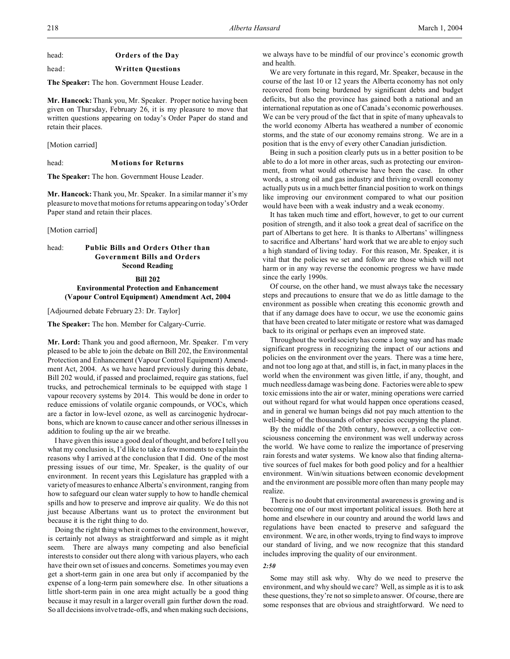# head: **Orders of the Day**

# head: **Written Questions**

**The Speaker:** The hon. Government House Leader.

**Mr. Hancock:** Thank you, Mr. Speaker. Proper notice having been given on Thursday, February 26, it is my pleasure to move that written questions appearing on today's Order Paper do stand and retain their places.

[Motion carried]

#### head: **Motions for Returns**

**The Speaker:** The hon. Government House Leader.

**Mr. Hancock:** Thank you, Mr. Speaker. In a similar manner it's my pleasure to move that motions for returns appearing on today's Order Paper stand and retain their places.

[Motion carried]

# head: **Public Bills and Orders Other than Government Bills and Orders Second Reading**

**Bill 202 Environmental Protection and Enhancement (Vapour Control Equipment) Amendment Act, 2004**

[Adjourned debate February 23: Dr. Taylor]

**The Speaker:** The hon. Member for Calgary-Currie.

**Mr. Lord:** Thank you and good afternoon, Mr. Speaker. I'm very pleased to be able to join the debate on Bill 202, the Environmental Protection and Enhancement (Vapour Control Equipment) Amendment Act, 2004. As we have heard previously during this debate, Bill 202 would, if passed and proclaimed, require gas stations, fuel trucks, and petrochemical terminals to be equipped with stage 1 vapour recovery systems by 2014. This would be done in order to reduce emissions of volatile organic compounds, or VOCs, which are a factor in low-level ozone, as well as carcinogenic hydrocarbons, which are known to cause cancer and other serious illnesses in addition to fouling up the air we breathe.

I have given this issue a good deal of thought, and before I tell you what my conclusion is, I'd like to take a few moments to explain the reasons why I arrived at the conclusion that I did. One of the most pressing issues of our time, Mr. Speaker, is the quality of our environment. In recent years this Legislature has grappled with a variety of measures to enhance Alberta's environment, ranging from how to safeguard our clean water supply to how to handle chemical spills and how to preserve and improve air quality. We do this not just because Albertans want us to protect the environment but because it is the right thing to do.

Doing the right thing when it comes to the environment, however, is certainly not always as straightforward and simple as it might seem. There are always many competing and also beneficial interests to consider out there along with various players, who each have their own set of issues and concerns. Sometimes you may even get a short-term gain in one area but only if accompanied by the expense of a long-term pain somewhere else. In other situations a little short-term pain in one area might actually be a good thing because it may result in a larger overall gain further down the road. So all decisions involve trade-offs, and when making such decisions,

we always have to be mindful of our province's economic growth and health.

We are very fortunate in this regard, Mr. Speaker, because in the course of the last 10 or 12 years the Alberta economy has not only recovered from being burdened by significant debts and budget deficits, but also the province has gained both a national and an international reputation as one of Canada's economic powerhouses. We can be very proud of the fact that in spite of many upheavals to the world economy Alberta has weathered a number of economic storms, and the state of our economy remains strong. We are in a position that is the envy of every other Canadian jurisdiction.

Being in such a position clearly puts us in a better position to be able to do a lot more in other areas, such as protecting our environment, from what would otherwise have been the case. In other words, a strong oil and gas industry and thriving overall economy actually puts us in a much better financial position to work on things like improving our environment compared to what our position would have been with a weak industry and a weak economy.

It has taken much time and effort, however, to get to our current position of strength, and it also took a great deal of sacrifice on the part of Albertans to get here. It is thanks to Albertans' willingness to sacrifice and Albertans' hard work that we are able to enjoy such a high standard of living today. For this reason, Mr. Speaker, it is vital that the policies we set and follow are those which will not harm or in any way reverse the economic progress we have made since the early 1990s.

Of course, on the other hand, we must always take the necessary steps and precautions to ensure that we do as little damage to the environment as possible when creating this economic growth and that if any damage does have to occur, we use the economic gains that have been created to later mitigate or restore what was damaged back to its original or perhaps even an improved state.

Throughout the world society has come a long way and has made significant progress in recognizing the impact of our actions and policies on the environment over the years. There was a time here, and not too long ago at that, and still is, in fact, in many places in the world when the environment was given little, if any, thought, and much needless damage was being done. Factories were able to spew toxic emissions into the air or water, mining operations were carried out without regard for what would happen once operations ceased, and in general we human beings did not pay much attention to the well-being of the thousands of other species occupying the planet.

By the middle of the 20th century, however, a collective consciousness concerning the environment was well underway across the world. We have come to realize the importance of preserving rain forests and water systems. We know also that finding alternative sources of fuel makes for both good policy and for a healthier environment. Win/win situations between economic development and the environment are possible more often than many people may realize.

There is no doubt that environmental awareness is growing and is becoming one of our most important political issues. Both here at home and elsewhere in our country and around the world laws and regulations have been enacted to preserve and safeguard the environment. We are, in other words, trying to find ways to improve our standard of living, and we now recognize that this standard includes improving the quality of our environment.

### *2:50*

Some may still ask why. Why do we need to preserve the environment, and why should we care? Well, as simple as it is to ask these questions, they're not so simple to answer. Of course, there are some responses that are obvious and straightforward. We need to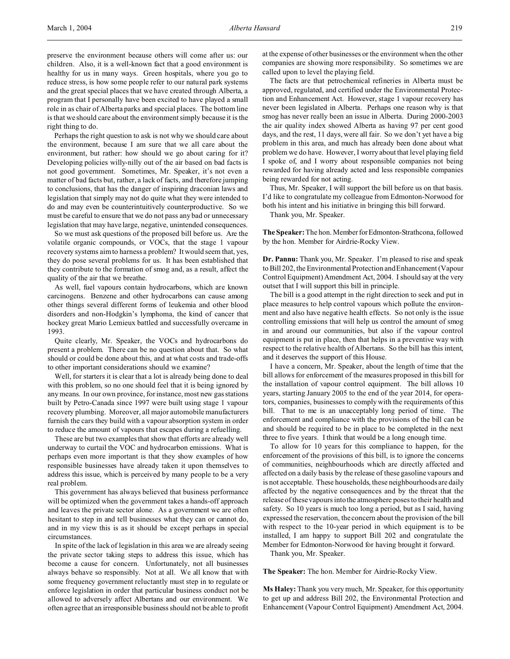preserve the environment because others will come after us: our children. Also, it is a well-known fact that a good environment is healthy for us in many ways. Green hospitals, where you go to reduce stress, is how some people refer to our natural park systems and the great special places that we have created through Alberta, a program that I personally have been excited to have played a small role in as chair of Alberta parks and special places. The bottom line is that we should care about the environment simply because it is the right thing to do.

Perhaps the right question to ask is not why we should care about the environment, because I am sure that we all care about the environment, but rather: how should we go about caring for it? Developing policies willy-nilly out of the air based on bad facts is not good government. Sometimes, Mr. Speaker, it's not even a matter of bad facts but, rather, a lack of facts, and therefore jumping to conclusions, that has the danger of inspiring draconian laws and legislation that simply may not do quite what they were intended to do and may even be counterintuitively counterproductive. So we must be careful to ensure that we do not pass any bad or unnecessary legislation that may have large, negative, unintended consequences.

So we must ask questions of the proposed bill before us. Are the volatile organic compounds, or VOCs, that the stage 1 vapour recovery systems aim to harness a problem? It would seem that, yes, they do pose several problems for us. It has been established that they contribute to the formation of smog and, as a result, affect the quality of the air that we breathe.

As well, fuel vapours contain hydrocarbons, which are known carcinogens. Benzene and other hydrocarbons can cause among other things several different forms of leukemia and other blood disorders and non-Hodgkin's lymphoma, the kind of cancer that hockey great Mario Lemieux battled and successfully overcame in 1993.

Quite clearly, Mr. Speaker, the VOCs and hydrocarbons do present a problem. There can be no question about that. So what should or could be done about this, and at what costs and trade-offs to other important considerations should we examine?

Well, for starters it is clear that a lot is already being done to deal with this problem, so no one should feel that it is being ignored by any means. In our own province, for instance, most new gas stations built by Petro-Canada since 1997 were built using stage 1 vapour recovery plumbing. Moreover, all major automobile manufacturers furnish the cars they build with a vapour absorption system in order to reduce the amount of vapours that escapes during a refuelling.

These are but two examples that show that efforts are already well underway to curtail the VOC and hydrocarbon emissions. What is perhaps even more important is that they show examples of how responsible businesses have already taken it upon themselves to address this issue, which is perceived by many people to be a very real problem.

This government has always believed that business performance will be optimized when the government takes a hands-off approach and leaves the private sector alone. As a government we are often hesitant to step in and tell businesses what they can or cannot do, and in my view this is as it should be except perhaps in special circumstances.

In spite of the lack of legislation in this area we are already seeing the private sector taking steps to address this issue, which has become a cause for concern. Unfortunately, not all businesses always behave so responsibly. Not at all. We all know that with some frequency government reluctantly must step in to regulate or enforce legislation in order that particular business conduct not be allowed to adversely affect Albertans and our environment. We often agree that an irresponsible business should not be able to profit at the expense of other businesses or the environment when the other companies are showing more responsibility. So sometimes we are called upon to level the playing field.

The facts are that petrochemical refineries in Alberta must be approved, regulated, and certified under the Environmental Protection and Enhancement Act. However, stage 1 vapour recovery has never been legislated in Alberta. Perhaps one reason why is that smog has never really been an issue in Alberta. During 2000-2003 the air quality index showed Alberta as having 97 per cent good days, and the rest, 11 days, were all fair. So we don't yet have a big problem in this area, and much has already been done about what problem we do have. However, I worry about that level playing field I spoke of, and I worry about responsible companies not being rewarded for having already acted and less responsible companies being rewarded for not acting.

Thus, Mr. Speaker, I will support the bill before us on that basis. I'd like to congratulate my colleague from Edmonton-Norwood for both his intent and his initiative in bringing this bill forward.

Thank you, Mr. Speaker.

**The Speaker:** The hon. Member forEdmonton-Strathcona, followed by the hon. Member for Airdrie-Rocky View.

**Dr. Pannu:** Thank you, Mr. Speaker. I'm pleased to rise and speak to Bill 202, the Environmental Protection and Enhancement (Vapour Control Equipment) Amendment Act, 2004. I should say at the very outset that I will support this bill in principle.

The bill is a good attempt in the right direction to seek and put in place measures to help control vapours which pollute the environment and also have negative health effects. So not only is the issue controlling emissions that will help us control the amount of smog in and around our communities, but also if the vapour control equipment is put in place, then that helps in a preventive way with respect to the relative health of Albertans. So the bill has this intent, and it deserves the support of this House.

I have a concern, Mr. Speaker, about the length of time that the bill allows for enforcement of the measures proposed in this bill for the installation of vapour control equipment. The bill allows 10 years, starting January 2005 to the end of the year 2014, for operators, companies, businesses to comply with the requirements of this bill. That to me is an unacceptably long period of time. The enforcement and compliance with the provisions of the bill can be and should be required to be in place to be completed in the next three to five years. I think that would be a long enough time.

To allow for 10 years for this compliance to happen, for the enforcement of the provisions of this bill, is to ignore the concerns of communities, neighbourhoods which are directly affected and affected on a daily basis by the release of these gasoline vapours and is not acceptable. These households, these neighbourhoods are daily affected by the negative consequences and by the threat that the release of these vapours into the atmosphere poses to their health and safety. So 10 years is much too long a period, but as I said, having expressed the reservation, the concern about the provision of the bill with respect to the 10-year period in which equipment is to be installed, I am happy to support Bill 202 and congratulate the Member for Edmonton-Norwood for having brought it forward.

Thank you, Mr. Speaker.

**The Speaker:** The hon. Member for Airdrie-Rocky View.

**Ms Haley:** Thank you very much, Mr. Speaker, for this opportunity to get up and address Bill 202, the Environmental Protection and Enhancement (Vapour Control Equipment) Amendment Act, 2004.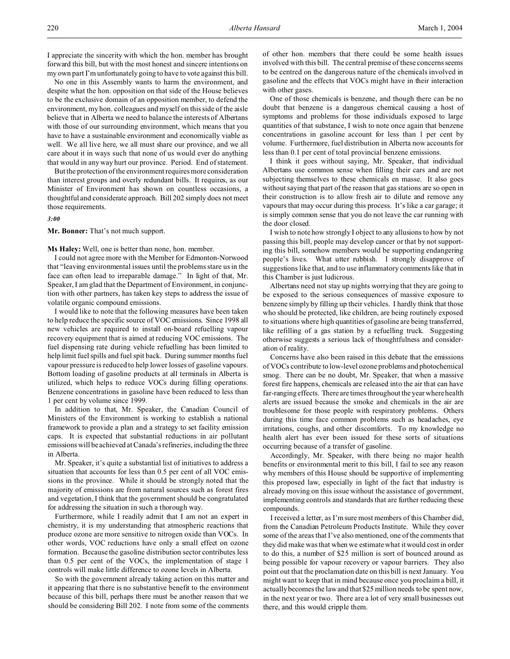I appreciate the sincerity with which the hon. member has brought forward this bill, but with the most honest and sincere intentions on my own part I'm unfortunately going to have to vote against this bill.

No one in this Assembly wants to harm the environment, and despite what the hon. opposition on that side of the House believes to be the exclusive domain of an opposition member, to defend the environment, my hon. colleagues and myself on this side of the aisle believe that in Alberta we need to balance the interests of Albertans with those of our surrounding environment, which means that you have to have a sustainable environment and economically viable as well. We all live here, we all must share our province, and we all care about it in ways such that none of us would ever do anything that would in any way hurt our province. Period. End of statement.

But the protection of the environment requires more consideration than interest groups and overly redundant bills. It requires, as our Minister of Environment has shown on countless occasions, a thoughtful and considerate approach. Bill 202 simply does not meet those requirements.

# *3:00*

**Mr. Bonner:** That's not much support.

**Ms Haley:** Well, one is better than none, hon. member.

I could not agree more with the Member for Edmonton-Norwood that "leaving environmental issues until the problems stare us in the face can often lead to irreparable damage." In light of that, Mr. Speaker, I am glad that the Department of Environment, in conjunction with other partners, has taken key steps to address the issue of volatile organic compound emissions.

I would like to note that the following measures have been taken to help reduce the specific source of VOC emissions. Since 1998 all new vehicles are required to install on-board refuelling vapour recovery equipment that is aimed at reducing VOC emissions. The fuel dispensing rate during vehicle refuelling has been limited to help limit fuel spills and fuel spit back. During summer months fuel vapour pressure is reduced to help lower losses of gasoline vapours. Bottom loading of gasoline products at all terminals in Alberta is utilized, which helps to reduce VOCs during filling operations. Benzene concentrations in gasoline have been reduced to less than 1 per cent by volume since 1999.

In addition to that, Mr. Speaker, the Canadian Council of Ministers of the Environment is working to establish a national framework to provide a plan and a strategy to set facility emission caps. It is expected that substantial reductions in air pollutant emissions will be achieved at Canada's refineries, including the three in Alberta.

Mr. Speaker, it's quite a substantial list of initiatives to address a situation that accounts for less than 0.5 per cent of all VOC emissions in the province. While it should be strongly noted that the majority of emissions are from natural sources such as forest fires and vegetation, I think that the government should be congratulated for addressing the situation in such a thorough way.

Furthermore, while I readily admit that I am not an expert in chemistry, it is my understanding that atmospheric reactions that produce ozone are more sensitive to nitrogen oxide than VOCs. In other words, VOC reductions have only a small effect on ozone formation. Because the gasoline distribution sector contributes less than 0.5 per cent of the VOCs, the implementation of stage 1 controls will make little difference to ozone levels in Alberta.

So with the government already taking action on this matter and it appearing that there is no substantive benefit to the environment because of this bill, perhaps there must be another reason that we should be considering Bill 202. I note from some of the comments

of other hon. members that there could be some health issues involved with this bill. The central premise of these concerns seems to be centred on the dangerous nature of the chemicals involved in gasoline and the effects that VOCs might have in their interaction with other gases.

One of those chemicals is benzene, and though there can be no doubt that benzene is a dangerous chemical causing a host of symptoms and problems for those individuals exposed to large quantities of that substance, I wish to note once again that benzene concentrations in gasoline account for less than 1 per cent by volume. Furthermore, fuel distribution in Alberta now accounts for less than 0.1 per cent of total provincial benzene emissions.

I think it goes without saying, Mr. Speaker, that individual Albertans use common sense when filling their cars and are not subjecting themselves to these chemicals en masse. It also goes without saying that part of the reason that gas stations are so open in their construction is to allow fresh air to dilute and remove any vapours that may occur during this process. It's like a car garage; it is simply common sense that you do not leave the car running with the door closed.

I wish to note how strongly I object to any allusions to how by not passing this bill, people may develop cancer or that by not supporting this bill, somehow members would be supporting endangering people's lives. What utter rubbish. I strongly disapprove of suggestions like that, and to use inflammatory comments like that in this Chamber is just ludicrous.

Albertans need not stay up nights worrying that they are going to be exposed to the serious consequences of massive exposure to benzene simply by filling up their vehicles. I hardly think that those who should be protected, like children, are being routinely exposed to situations where high quantities of gasoline are being transferred, like refilling of a gas station by a refuelling truck. Suggesting otherwise suggests a serious lack of thoughtfulness and consideration of reality.

Concerns have also been raised in this debate that the emissions of VOCs contribute to low-level ozone problems and photochemical smog. There can be no doubt, Mr. Speaker, that when a massive forest fire happens, chemicals are released into the air that can have far-ranging effects. There are times throughout the year where health alerts are issued because the smoke and chemicals in the air are troublesome for those people with respiratory problems. Others during this time face common problems such as headaches, eye irritations, coughs, and other discomforts. To my knowledge no health alert has ever been issued for these sorts of situations occurring because of a transfer of gasoline.

Accordingly, Mr. Speaker, with there being no major health benefits or environmental merit to this bill, I fail to see any reason why members of this House should be supportive of implementing this proposed law, especially in light of the fact that industry is already moving on this issue without the assistance of government, implementing controls and standards that are further reducing these compounds.

I received a letter, as I'm sure most members of this Chamber did, from the Canadian Petroleum Products Institute. While they cover some of the areas that I've also mentioned, one of the comments that they did make was that when we estimate what it would cost in order to do this, a number of \$25 million is sort of bounced around as being possible for vapour recovery or vapour barriers. They also point out that the proclamation date on this bill is next January. You might want to keep that in mind because once you proclaim a bill, it actually becomes the law and that \$25 million needs to be spent now, in the next year or two. There are a lot of very small businesses out there, and this would cripple them.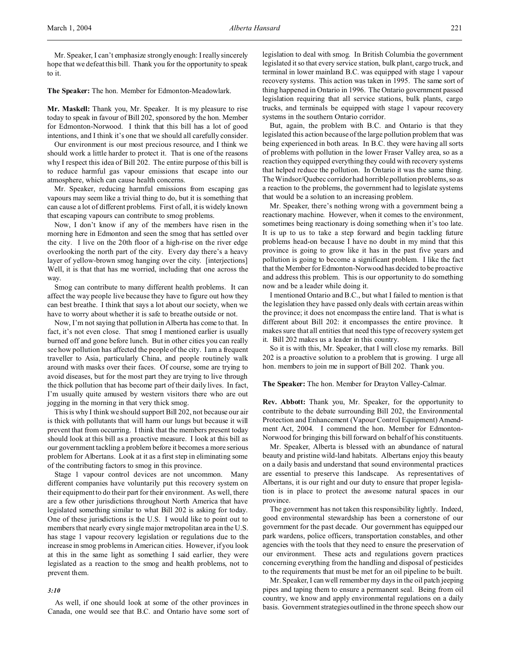Mr. Speaker, I can't emphasize strongly enough: I really sincerely hope that we defeat this bill. Thank you for the opportunity to speak to it.

#### **The Speaker:** The hon. Member for Edmonton-Meadowlark.

**Mr. Maskell:** Thank you, Mr. Speaker. It is my pleasure to rise today to speak in favour of Bill 202, sponsored by the hon. Member for Edmonton-Norwood. I think that this bill has a lot of good intentions, and I think it's one that we should all carefully consider.

Our environment is our most precious resource, and I think we should work a little harder to protect it. That is one of the reasons why I respect this idea of Bill 202. The entire purpose of this bill is to reduce harmful gas vapour emissions that escape into our atmosphere, which can cause health concerns.

Mr. Speaker, reducing harmful emissions from escaping gas vapours may seem like a trivial thing to do, but it is something that can cause a lot of different problems. First of all, it is widely known that escaping vapours can contribute to smog problems.

Now, I don't know if any of the members have risen in the morning here in Edmonton and seen the smog that has settled over the city. I live on the 20th floor of a high-rise on the river edge overlooking the north part of the city. Every day there's a heavy layer of yellow-brown smog hanging over the city. [interjections] Well, it is that that has me worried, including that one across the way.

Smog can contribute to many different health problems. It can affect the way people live because they have to figure out how they can best breathe. I think that says a lot about our society, when we have to worry about whether it is safe to breathe outside or not.

Now, I'm not saying that pollution in Alberta has come to that. In fact, it's not even close. That smog I mentioned earlier is usually burned off and gone before lunch. But in other cities you can really see how pollution has affected the people of the city. I am a frequent traveller to Asia, particularly China, and people routinely walk around with masks over their faces. Of course, some are trying to avoid diseases, but for the most part they are trying to live through the thick pollution that has become part of their daily lives. In fact, I'm usually quite amused by western visitors there who are out jogging in the morning in that very thick smog.

This is why I think we should support Bill 202, not because our air is thick with pollutants that will harm our lungs but because it will prevent that from occurring. I think that the members present today should look at this bill as a proactive measure. I look at this bill as our government tackling a problem before it becomes a more serious problem for Albertans. Look at it as a first step in eliminating some of the contributing factors to smog in this province.

Stage 1 vapour control devices are not uncommon. Many different companies have voluntarily put this recovery system on their equipment to do their part for their environment. As well, there are a few other jurisdictions throughout North America that have legislated something similar to what Bill 202 is asking for today. One of these jurisdictions is the U.S. I would like to point out to members that nearly every single major metropolitan area in the U.S. has stage 1 vapour recovery legislation or regulations due to the increase in smog problems in American cities. However, if you look at this in the same light as something I said earlier, they were legislated as a reaction to the smog and health problems, not to prevent them.

### *3:10*

As well, if one should look at some of the other provinces in Canada, one would see that B.C. and Ontario have some sort of legislation to deal with smog. In British Columbia the government legislated it so that every service station, bulk plant, cargo truck, and terminal in lower mainland B.C. was equipped with stage 1 vapour recovery systems. This action was taken in 1995. The same sort of thing happened in Ontario in 1996. The Ontario government passed legislation requiring that all service stations, bulk plants, cargo trucks, and terminals be equipped with stage 1 vapour recovery systems in the southern Ontario corridor.

But, again, the problem with B.C. and Ontario is that they legislated this action because of the large pollution problem that was being experienced in both areas. In B.C. they were having all sorts of problems with pollution in the lower Fraser Valley area, so as a reaction they equipped everything they could with recovery systems that helped reduce the pollution. In Ontario it was the same thing. The Windsor/Quebec corridor had horrible pollution problems, so as a reaction to the problems, the government had to legislate systems that would be a solution to an increasing problem.

Mr. Speaker, there's nothing wrong with a government being a reactionary machine. However, when it comes to the environment, sometimes being reactionary is doing something when it's too late. It is up to us to take a step forward and begin tackling future problems head-on because I have no doubt in my mind that this province is going to grow like it has in the past five years and pollution is going to become a significant problem. I like the fact that the Member for Edmonton-Norwood has decided to be proactive and address this problem. This is our opportunity to do something now and be a leader while doing it.

I mentioned Ontario and B.C., but what I failed to mention is that the legislation they have passed only deals with certain areas within the province; it does not encompass the entire land. That is what is different about Bill 202: it encompasses the entire province. It makes sure that all entities that need this type of recovery system get it. Bill 202 makes us a leader in this country.

So it is with this, Mr. Speaker, that I will close my remarks. Bill 202 is a proactive solution to a problem that is growing. I urge all hon. members to join me in support of Bill 202. Thank you.

## **The Speaker:** The hon. Member for Drayton Valley-Calmar.

**Rev. Abbott:** Thank you, Mr. Speaker, for the opportunity to contribute to the debate surrounding Bill 202, the Environmental Protection and Enhancement (Vapour Control Equipment) Amendment Act, 2004. I commend the hon. Member for Edmonton-Norwood for bringing this bill forward on behalf of his constituents.

Mr. Speaker, Alberta is blessed with an abundance of natural beauty and pristine wild-land habitats. Albertans enjoy this beauty on a daily basis and understand that sound environmental practices are essential to preserve this landscape. As representatives of Albertans, it is our right and our duty to ensure that proper legislation is in place to protect the awesome natural spaces in our province.

The government has not taken this responsibility lightly. Indeed, good environmental stewardship has been a cornerstone of our government for the past decade. Our government has equipped our park wardens, police officers, transportation constables, and other agencies with the tools that they need to ensure the preservation of our environment. These acts and regulations govern practices concerning everything from the handling and disposal of pesticides to the requirements that must be met for an oil pipeline to be built.

Mr. Speaker, I can well remember my days in the oil patch jeeping pipes and taping them to ensure a permanent seal. Being from oil country, we know and apply environmental regulations on a daily basis. Government strategies outlined in the throne speech show our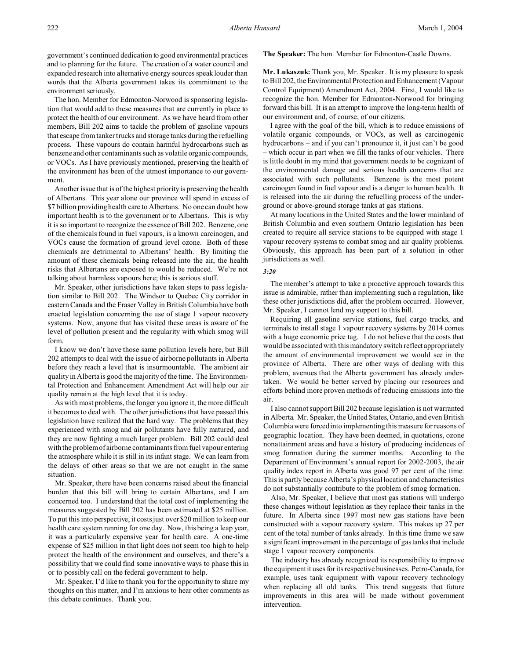government's continued dedication to good environmental practices and to planning for the future. The creation of a water council and expanded research into alternative energy sources speak louder than words that the Alberta government takes its commitment to the environment seriously.

The hon. Member for Edmonton-Norwood is sponsoring legislation that would add to these measures that are currently in place to protect the health of our environment. As we have heard from other members, Bill 202 aims to tackle the problem of gasoline vapours that escape from tanker trucks and storage tanks during the refuelling process. These vapours do contain harmful hydrocarbons such as benzene and other contaminants such as volatile organic compounds, or VOCs. As I have previously mentioned, preserving the health of the environment has been of the utmost importance to our government.

Another issue that is of the highest priority is preserving the health of Albertans. This year alone our province will spend in excess of \$7 billion providing health care to Albertans. No one can doubt how important health is to the government or to Albertans. This is why it is so important to recognize the essence of Bill 202. Benzene, one of the chemicals found in fuel vapours, is a known carcinogen, and VOCs cause the formation of ground level ozone. Both of these chemicals are detrimental to Albertans' health. By limiting the amount of these chemicals being released into the air, the health risks that Albertans are exposed to would be reduced. We're not talking about harmless vapours here; this is serious stuff.

Mr. Speaker, other jurisdictions have taken steps to pass legislation similar to Bill 202. The Windsor to Quebec City corridor in eastern Canada and the Fraser Valley in British Columbia have both enacted legislation concerning the use of stage 1 vapour recovery systems. Now, anyone that has visited these areas is aware of the level of pollution present and the regularity with which smog will form.

I know we don't have those same pollution levels here, but Bill 202 attempts to deal with the issue of airborne pollutants in Alberta before they reach a level that is insurmountable. The ambient air quality in Alberta is good the majority of the time. The Environmental Protection and Enhancement Amendment Act will help our air quality remain at the high level that it is today.

As with most problems, the longer you ignore it, the more difficult it becomes to deal with. The other jurisdictions that have passed this legislation have realized that the hard way. The problems that they experienced with smog and air pollutants have fully matured, and they are now fighting a much larger problem. Bill 202 could deal with the problem of airborne contaminants from fuel vapour entering the atmosphere while it is still in its infant stage. We can learn from the delays of other areas so that we are not caught in the same situation.

Mr. Speaker, there have been concerns raised about the financial burden that this bill will bring to certain Albertans, and I am concerned too. I understand that the total cost of implementing the measures suggested by Bill 202 has been estimated at \$25 million. To put this into perspective, it costs just over \$20 million to keep our health care system running for one day. Now, this being a leap year, it was a particularly expensive year for health care. A one-time expense of \$25 million in that light does not seem too high to help protect the health of the environment and ourselves, and there's a possibility that we could find some innovative ways to phase this in or to possibly call on the federal government to help.

Mr. Speaker, I'd like to thank you for the opportunity to share my thoughts on this matter, and I'm anxious to hear other comments as this debate continues. Thank you.

### **The Speaker:** The hon. Member for Edmonton-Castle Downs.

**Mr. Lukaszuk:** Thank you, Mr. Speaker. It is my pleasure to speak to Bill 202, the Environmental Protection and Enhancement (Vapour Control Equipment) Amendment Act, 2004. First, I would like to recognize the hon. Member for Edmonton-Norwood for bringing forward this bill. It is an attempt to improve the long-term health of our environment and, of course, of our citizens.

I agree with the goal of the bill, which is to reduce emissions of volatile organic compounds, or VOCs, as well as carcinogenic hydrocarbons – and if you can't pronounce it, it just can't be good – which occur in part when we fill the tanks of our vehicles. There is little doubt in my mind that government needs to be cognizant of the environmental damage and serious health concerns that are associated with such pollutants. Benzene is the most potent carcinogen found in fuel vapour and is a danger to human health. It is released into the air during the refuelling process of the underground or above-ground storage tanks at gas stations.

At many locations in the United States and the lower mainland of British Columbia and even southern Ontario legislation has been created to require all service stations to be equipped with stage 1 vapour recovery systems to combat smog and air quality problems. Obviously, this approach has been part of a solution in other jurisdictions as well.

#### *3:20*

The member's attempt to take a proactive approach towards this issue is admirable, rather than implementing such a regulation, like these other jurisdictions did, after the problem occurred. However, Mr. Speaker, I cannot lend my support to this bill.

Requiring all gasoline service stations, fuel cargo trucks, and terminals to install stage 1 vapour recovery systems by 2014 comes with a huge economic price tag. I do not believe that the costs that would be associated with this mandatory switch reflect appropriately the amount of environmental improvement we would see in the province of Alberta. There are other ways of dealing with this problem, avenues that the Alberta government has already undertaken. We would be better served by placing our resources and efforts behind more proven methods of reducing emissions into the air.

I also cannot support Bill 202 because legislation is not warranted in Alberta. Mr. Speaker, the United States, Ontario, and even British Columbia were forced into implementing this measure for reasons of geographic location. They have been deemed, in quotations, ozone nonattainment areas and have a history of producing incidences of smog formation during the summer months. According to the Department of Environment's annual report for 2002-2003, the air quality index report in Alberta was good 97 per cent of the time. This is partly because Alberta's physical location and characteristics do not substantially contribute to the problem of smog formation.

Also, Mr. Speaker, I believe that most gas stations will undergo these changes without legislation as they replace their tanks in the future. In Alberta since 1997 most new gas stations have been constructed with a vapour recovery system. This makes up 27 per cent of the total number of tanks already. In this time frame we saw a significant improvement in the percentage of gas tanks that include stage 1 vapour recovery components.

The industry has already recognized its responsibility to improve the equipment it uses for its respective businesses. Petro-Canada, for example, uses tank equipment with vapour recovery technology when replacing all old tanks. This trend suggests that future improvements in this area will be made without government intervention.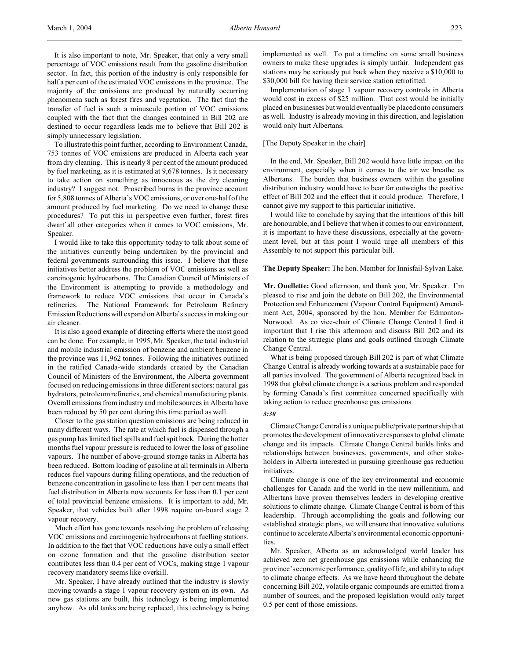It is also important to note, Mr. Speaker, that only a very small percentage of VOC emissions result from the gasoline distribution sector. In fact, this portion of the industry is only responsible for half a per cent of the estimated VOC emissions in the province. The majority of the emissions are produced by naturally occurring phenomena such as forest fires and vegetation. The fact that the transfer of fuel is such a minuscule portion of VOC emissions coupled with the fact that the changes contained in Bill 202 are destined to occur regardless leads me to believe that Bill 202 is simply unnecessary legislation.

To illustrate this point further, according to Environment Canada, 753 tonnes of VOC emissions are produced in Alberta each year from dry cleaning. This is nearly 8 per cent of the amount produced by fuel marketing, as it is estimated at 9,678 tonnes. Is it necessary to take action on something as innocuous as the dry cleaning industry? I suggest not. Proscribed burns in the province account for 5,808 tonnes of Alberta's VOC emissions, or over one-half of the amount produced by fuel marketing. Do we need to change these procedures? To put this in perspective even further, forest fires dwarf all other categories when it comes to VOC emissions, Mr. Speaker.

I would like to take this opportunity today to talk about some of the initiatives currently being undertaken by the provincial and federal governments surrounding this issue. I believe that these initiatives better address the problem of VOC emissions as well as carcinogenic hydrocarbons. The Canadian Council of Ministers of the Environment is attempting to provide a methodology and framework to reduce VOC emissions that occur in Canada's refineries. The National Framework for Petroleum Refinery Emission Reductionswill expand on Alberta's success in making our air cleaner.

It is also a good example of directing efforts where the most good can be done. For example, in 1995, Mr. Speaker, the total industrial and mobile industrial emission of benzene and ambient benzene in the province was 11,962 tonnes. Following the initiatives outlined in the ratified Canada-wide standards created by the Canadian Council of Ministers of the Environment, the Alberta government focused on reducing emissions in three different sectors: natural gas hydrators, petroleum refineries, and chemical manufacturing plants. Overall emissions from industry and mobile sources in Alberta have been reduced by 50 per cent during this time period as well.

Closer to the gas station question emissions are being reduced in many different ways. The rate at which fuel is dispensed through a gas pump has limited fuel spills and fuel spit back. During the hotter months fuel vapour pressure is reduced to lower the loss of gasoline vapours. The number of above-ground storage tanks in Alberta has been reduced. Bottom loading of gasoline at all terminals in Alberta reduces fuel vapours during filling operations, and the reduction of benzene concentration in gasoline to less than 1 per cent means that fuel distribution in Alberta now accounts for less than 0.1 per cent of total provincial benzene emissions. It is important to add, Mr. Speaker, that vehicles built after 1998 require on-board stage 2 vapour recovery.

Much effort has gone towards resolving the problem of releasing VOC emissions and carcinogenic hydrocarbons at fuelling stations. In addition to the fact that VOC reductions have only a small effect on ozone formation and that the gasoline distribution sector contributes less than 0.4 per cent of VOCs, making stage 1 vapour recovery mandatory seems like overkill.

Mr. Speaker, I have already outlined that the industry is slowly moving towards a stage 1 vapour recovery system on its own. As new gas stations are built, this technology is being implemented anyhow. As old tanks are being replaced, this technology is being

implemented as well. To put a timeline on some small business owners to make these upgrades is simply unfair. Independent gas stations may be seriously put back when they receive a \$10,000 to \$30,000 bill for having their service station retrofitted.

Implementation of stage 1 vapour recovery controls in Alberta would cost in excess of \$25 million. That cost would be initially placed on businesses but would eventually be placed onto consumers as well. Industry is already moving in this direction, and legislation would only hurt Albertans.

#### [The Deputy Speaker in the chair]

In the end, Mr. Speaker, Bill 202 would have little impact on the environment, especially when it comes to the air we breathe as Albertans. The burden that business owners within the gasoline distribution industry would have to bear far outweighs the positive effect of Bill 202 and the effect that it could produce. Therefore, I cannot give my support to this particular initiative.

I would like to conclude by saying that the intentions of this bill are honourable, and I believe that when it comes to our environment, it is important to have these discussions, especially at the government level, but at this point I would urge all members of this Assembly to not support this particular bill.

## **The Deputy Speaker:** The hon. Member for Innisfail-Sylvan Lake.

**Mr. Ouellette:** Good afternoon, and thank you, Mr. Speaker. I'm pleased to rise and join the debate on Bill 202, the Environmental Protection and Enhancement (Vapour Control Equipment) Amendment Act, 2004, sponsored by the hon. Member for Edmonton-Norwood. As co vice-chair of Climate Change Central I find it important that I rise this afternoon and discuss Bill 202 and its relation to the strategic plans and goals outlined through Climate Change Central.

What is being proposed through Bill 202 is part of what Climate Change Central is already working towards at a sustainable pace for all parties involved. The government of Alberta recognized back in 1998 that global climate change is a serious problem and responded by forming Canada's first committee concerned specifically with taking action to reduce greenhouse gas emissions.

#### *3:30*

Climate Change Central is a unique public/private partnership that promotes the development of innovative responses to global climate change and its impacts. Climate Change Central builds links and relationships between businesses, governments, and other stakeholders in Alberta interested in pursuing greenhouse gas reduction initiatives.

Climate change is one of the key environmental and economic challenges for Canada and the world in the new millennium, and Albertans have proven themselves leaders in developing creative solutions to climate change. Climate Change Central is born of this leadership. Through accomplishing the goals and following our established strategic plans, we will ensure that innovative solutions continue to accelerate Alberta's environmental economic opportunities.

Mr. Speaker, Alberta as an acknowledged world leader has achieved zero net greenhouse gas emissions while enhancing the province's economic performance, quality of life, and ability to adapt to climate change effects. As we have heard throughout the debate concerning Bill 202, volatile organic compounds are emitted from a number of sources, and the proposed legislation would only target 0.5 per cent of those emissions.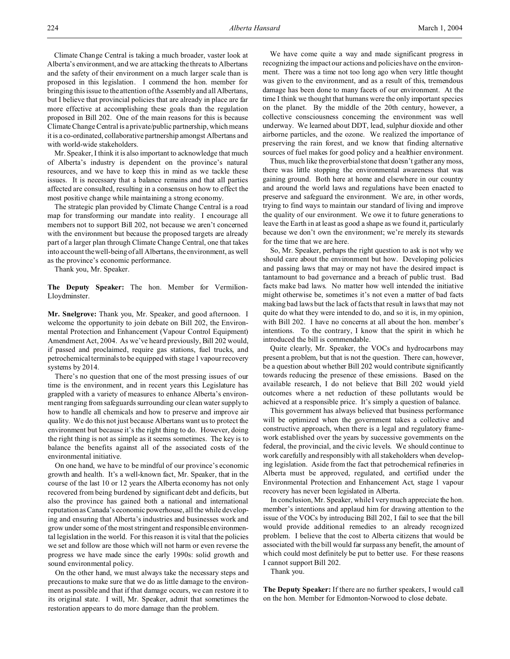Climate Change Central is taking a much broader, vaster look at Alberta's environment, and we are attacking the threats to Albertans and the safety of their environment on a much larger scale than is proposed in this legislation. I commend the hon. member for bringing this issue to the attention of the Assembly and all Albertans, but I believe that provincial policies that are already in place are far more effective at accomplishing these goals than the regulation proposed in Bill 202. One of the main reasons for this is because Climate Change Central is a private/public partnership, which means it is a co-ordinated, collaborative partnership amongst Albertans and with world-wide stakeholders.

Mr. Speaker, I think it is also important to acknowledge that much of Alberta's industry is dependent on the province's natural resources, and we have to keep this in mind as we tackle these issues. It is necessary that a balance remains and that all parties affected are consulted, resulting in a consensus on how to effect the most positive change while maintaining a strong economy.

The strategic plan provided by Climate Change Central is a road map for transforming our mandate into reality. I encourage all members not to support Bill 202, not because we aren't concerned with the environment but because the proposed targets are already part of a larger plan through Climate Change Central, one that takes into account the well-being of all Albertans, the environment, as well as the province's economic performance.

Thank you, Mr. Speaker.

**The Deputy Speaker:** The hon. Member for Vermilion-Lloydminster.

**Mr. Snelgrove:** Thank you, Mr. Speaker, and good afternoon. I welcome the opportunity to join debate on Bill 202, the Environmental Protection and Enhancement (Vapour Control Equipment) Amendment Act, 2004. As we've heard previously, Bill 202 would, if passed and proclaimed, require gas stations, fuel trucks, and petrochemical terminals to be equipped with stage 1 vapour recovery systems by 2014.

There's no question that one of the most pressing issues of our time is the environment, and in recent years this Legislature has grappled with a variety of measures to enhance Alberta's environment ranging from safeguards surrounding our clean water supply to how to handle all chemicals and how to preserve and improve air quality. We do this not just because Albertans want us to protect the environment but because it's the right thing to do. However, doing the right thing is not as simple as it seems sometimes. The key is to balance the benefits against all of the associated costs of the environmental initiative.

On one hand, we have to be mindful of our province's economic growth and health. It's a well-known fact, Mr. Speaker, that in the course of the last 10 or 12 years the Alberta economy has not only recovered from being burdened by significant debt and deficits, but also the province has gained both a national and international reputation as Canada's economic powerhouse, all the while developing and ensuring that Alberta's industries and businesses work and grow under some of the most stringent and responsible environmental legislation in the world. For this reason it is vital that the policies we set and follow are those which will not harm or even reverse the progress we have made since the early 1990s: solid growth and sound environmental policy.

On the other hand, we must always take the necessary steps and precautions to make sure that we do as little damage to the environment as possible and that if that damage occurs, we can restore it to its original state. I will, Mr. Speaker, admit that sometimes the restoration appears to do more damage than the problem.

We have come quite a way and made significant progress in recognizing the impact our actions and policies have on the environment. There was a time not too long ago when very little thought was given to the environment, and as a result of this, tremendous damage has been done to many facets of our environment. At the time I think we thought that humans were the only important species on the planet. By the middle of the 20th century, however, a collective consciousness concerning the environment was well underway. We learned about DDT, lead, sulphur dioxide and other airborne particles, and the ozone. We realized the importance of preserving the rain forest, and we know that finding alternative sources of fuel makes for good policy and a healthier environment.

Thus, much like the proverbial stone that doesn't gather any moss, there was little stopping the environmental awareness that was gaining ground. Both here at home and elsewhere in our country and around the world laws and regulations have been enacted to preserve and safeguard the environment. We are, in other words, trying to find ways to maintain our standard of living and improve the quality of our environment. We owe it to future generations to leave the Earth in at least as good a shape as we found it, particularly because we don't own the environment; we're merely its stewards for the time that we are here.

So, Mr. Speaker, perhaps the right question to ask is not why we should care about the environment but how. Developing policies and passing laws that may or may not have the desired impact is tantamount to bad governance and a breach of public trust. Bad facts make bad laws. No matter how well intended the initiative might otherwise be, sometimes it's not even a matter of bad facts making bad laws but the lack of facts that result in laws that may not quite do what they were intended to do, and so it is, in my opinion, with Bill 202. I have no concerns at all about the hon. member's intentions. To the contrary, I know that the spirit in which he introduced the bill is commendable.

Quite clearly, Mr. Speaker, the VOCs and hydrocarbons may present a problem, but that is not the question. There can, however, be a question about whether Bill 202 would contribute significantly towards reducing the presence of these emissions. Based on the available research, I do not believe that Bill 202 would yield outcomes where a net reduction of these pollutants would be achieved at a responsible price. It's simply a question of balance.

This government has always believed that business performance will be optimized when the government takes a collective and constructive approach, when there is a legal and regulatory framework established over the years by successive governments on the federal, the provincial, and the civic levels. We should continue to work carefully and responsibly with all stakeholders when developing legislation. Aside from the fact that petrochemical refineries in Alberta must be approved, regulated, and certified under the Environmental Protection and Enhancement Act, stage 1 vapour recovery has never been legislated in Alberta.

In conclusion, Mr. Speaker, while I very much appreciate the hon. member's intentions and applaud him for drawing attention to the issue of the VOCs by introducing Bill 202, I fail to see that the bill would provide additional remedies to an already recognized problem. I believe that the cost to Alberta citizens that would be associated with the bill would far surpass any benefit, the amount of which could most definitely be put to better use. For these reasons I cannot support Bill 202.

Thank you.

**The Deputy Speaker:** If there are no further speakers, I would call on the hon. Member for Edmonton-Norwood to close debate.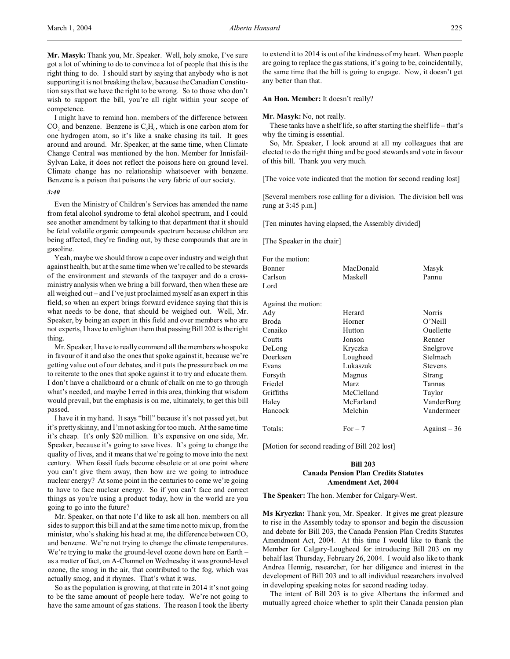I might have to remind hon. members of the difference between  $CO<sub>2</sub>$  and benzene. Benzene is  $C<sub>6</sub>H<sub>6</sub>$ , which is one carbon atom for one hydrogen atom, so it's like a snake chasing its tail. It goes around and around. Mr. Speaker, at the same time, when Climate Change Central was mentioned by the hon. Member for Innisfail-Sylvan Lake, it does not reflect the poisons here on ground level. Climate change has no relationship whatsoever with benzene. Benzene is a poison that poisons the very fabric of our society.

#### *3:40*

Even the Ministry of Children's Services has amended the name from fetal alcohol syndrome to fetal alcohol spectrum, and I could see another amendment by talking to that department that it should be fetal volatile organic compounds spectrum because children are being affected, they're finding out, by these compounds that are in gasoline.

Yeah, maybe we should throw a cape over industry and weigh that against health, but at the same time when we're called to be stewards of the environment and stewards of the taxpayer and do a crossministry analysis when we bring a bill forward, then when these are all weighed out – and I've just proclaimed myself as an expert in this field, so when an expert brings forward evidence saying that this is what needs to be done, that should be weighed out. Well, Mr. Speaker, by being an expert in this field and over members who are not experts, I have to enlighten them that passing Bill 202 is the right thing.

Mr. Speaker, I have to really commend all the members who spoke in favour of it and also the ones that spoke against it, because we're getting value out of our debates, and it puts the pressure back on me to reiterate to the ones that spoke against it to try and educate them. I don't have a chalkboard or a chunk of chalk on me to go through what's needed, and maybe I erred in this area, thinking that wisdom would prevail, but the emphasis is on me, ultimately, to get this bill passed.

I have it in my hand. It says "bill" because it's not passed yet, but it's pretty skinny, and I'm not asking for too much. At the same time it's cheap. It's only \$20 million. It's expensive on one side, Mr. Speaker, because it's going to save lives. It's going to change the quality of lives, and it means that we're going to move into the next century. When fossil fuels become obsolete or at one point where you can't give them away, then how are we going to introduce nuclear energy? At some point in the centuries to come we're going to have to face nuclear energy. So if you can't face and correct things as you're using a product today, how in the world are you going to go into the future?

Mr. Speaker, on that note I'd like to ask all hon. members on all sides to support this bill and at the same time not to mix up, from the minister, who's shaking his head at me, the difference between  $CO<sub>2</sub>$ and benzene. We're not trying to change the climate temperatures. We're trying to make the ground-level ozone down here on Earth – as a matter of fact, on A-Channel on Wednesday it was ground-level ozone, the smog in the air, that contributed to the fog, which was actually smog, and it rhymes. That's what it was.

So as the population is growing, at that rate in 2014 it's not going to be the same amount of people here today. We're not going to have the same amount of gas stations. The reason I took the liberty to extend it to 2014 is out of the kindness of my heart. When people are going to replace the gas stations, it's going to be, coincidentally, the same time that the bill is going to engage. Now, it doesn't get any better than that.

### **An Hon. Member:** It doesn't really?

#### **Mr. Masyk:** No, not really.

These tanks have a shelf life, so after starting the shelf life – that's why the timing is essential.

So, Mr. Speaker, I look around at all my colleagues that are elected to do the right thing and be good stewards and vote in favour of this bill. Thank you very much.

[The voice vote indicated that the motion for second reading lost]

[Several members rose calling for a division. The division bell was rung at 3:45 p.m.]

[Ten minutes having elapsed, the Assembly divided]

[The Speaker in the chair]

| For the motion:     |             |                |
|---------------------|-------------|----------------|
| Bonner              | MacDonald   | Masyk          |
| Carlson             | Maskell     | Pannu          |
| Lord                |             |                |
| Against the motion: |             |                |
| Ady                 | Herard      | Norris         |
| Broda               | Horner      | $O'$ Neill     |
| Cenaiko             | Hutton      | Ouellette      |
| Coutts              | Jonson      | Renner         |
| DeLong              | Kryczka     | Snelgrove      |
| Doerksen            | Lougheed    | Stelmach       |
| Evans               | Lukaszuk    | <b>Stevens</b> |
| Forsyth             | Magnus      | Strang         |
| Friedel             | <b>Marz</b> | Tannas         |
| Griffiths           | McClelland  | Taylor         |
| Haley               | McFarland   | VanderBurg     |
| Hancock             | Melchin     | Vandermeer     |
| Totals:             | For $-7$    | $Against-36$   |
|                     |             |                |

[Motion for second reading of Bill 202 lost]

# **Bill 203 Canada Pension Plan Credits Statutes Amendment Act, 2004**

**The Speaker:** The hon. Member for Calgary-West.

**Ms Kryczka:** Thank you, Mr. Speaker. It gives me great pleasure to rise in the Assembly today to sponsor and begin the discussion and debate for Bill 203, the Canada Pension Plan Credits Statutes Amendment Act, 2004. At this time I would like to thank the Member for Calgary-Lougheed for introducing Bill 203 on my behalf last Thursday, February 26, 2004. I would also like to thank Andrea Hennig, researcher, for her diligence and interest in the development of Bill 203 and to all individual researchers involved in developing speaking notes for second reading today.

The intent of Bill 203 is to give Albertans the informed and mutually agreed choice whether to split their Canada pension plan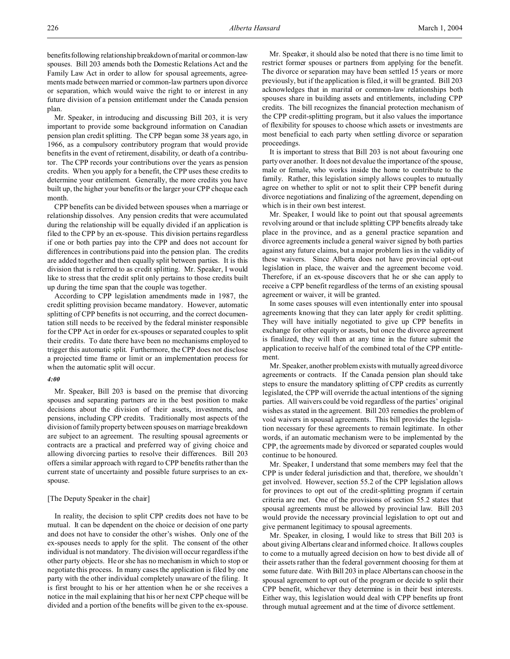benefitsfollowing relationship breakdown of marital or common-law spouses. Bill 203 amends both the Domestic Relations Act and the Family Law Act in order to allow for spousal agreements, agreements made between married or common-law partners upon divorce or separation, which would waive the right to or interest in any future division of a pension entitlement under the Canada pension plan.

Mr. Speaker, in introducing and discussing Bill 203, it is very important to provide some background information on Canadian pension plan credit splitting. The CPP began some 38 years ago, in 1966, as a compulsory contributory program that would provide benefits in the event of retirement, disability, or death of a contributor. The CPP records your contributions over the years as pension credits. When you apply for a benefit, the CPP uses these credits to determine your entitlement. Generally, the more credits you have built up, the higher your benefits or the larger your CPP cheque each month.

CPP benefits can be divided between spouses when a marriage or relationship dissolves. Any pension credits that were accumulated during the relationship will be equally divided if an application is filed to the CPP by an ex-spouse. This division pertains regardless if one or both parties pay into the CPP and does not account for differences in contributions paid into the pension plan. The credits are added together and then equally split between parties. It is this division that is referred to as credit splitting. Mr. Speaker, I would like to stress that the credit split only pertains to those credits built up during the time span that the couple was together.

According to CPP legislation amendments made in 1987, the credit splitting provision became mandatory. However, automatic splitting of CPP benefits is not occurring, and the correct documentation still needs to be received by the federal minister responsible for the CPP Act in order for ex-spouses or separated couples to split their credits. To date there have been no mechanisms employed to trigger this automatic split. Furthermore, the CPP does not disclose a projected time frame or limit or an implementation process for when the automatic split will occur.

#### *4:00*

Mr. Speaker, Bill 203 is based on the premise that divorcing spouses and separating partners are in the best position to make decisions about the division of their assets, investments, and pensions, including CPP credits. Traditionally most aspects of the division of family property between spouses on marriage breakdown are subject to an agreement. The resulting spousal agreements or contracts are a practical and preferred way of giving choice and allowing divorcing parties to resolve their differences. Bill 203 offers a similar approach with regard to CPP benefits rather than the current state of uncertainty and possible future surprises to an exspouse.

## [The Deputy Speaker in the chair]

In reality, the decision to split CPP credits does not have to be mutual. It can be dependent on the choice or decision of one party and does not have to consider the other's wishes. Only one of the ex-spouses needs to apply for the split. The consent of the other individual is not mandatory. The division will occur regardless if the other party objects. He or she has no mechanism in which to stop or negotiate this process. In many cases the application is filed by one party with the other individual completely unaware of the filing. It is first brought to his or her attention when he or she receives a notice in the mail explaining that his or her next CPP cheque will be divided and a portion of the benefits will be given to the ex-spouse.

Mr. Speaker, it should also be noted that there is no time limit to restrict former spouses or partners from applying for the benefit. The divorce or separation may have been settled 15 years or more previously, but if the application is filed, it will be granted. Bill 203 acknowledges that in marital or common-law relationships both spouses share in building assets and entitlements, including CPP credits. The bill recognizes the financial protection mechanism of the CPP credit-splitting program, but it also values the importance of flexibility for spouses to choose which assets or investments are most beneficial to each party when settling divorce or separation proceedings.

It is important to stress that Bill 203 is not about favouring one party over another. It does not devalue the importance of the spouse, male or female, who works inside the home to contribute to the family. Rather, this legislation simply allows couples to mutually agree on whether to split or not to split their CPP benefit during divorce negotiations and finalizing of the agreement, depending on which is in their own best interest.

Mr. Speaker, I would like to point out that spousal agreements revolving around or that include splitting CPP benefits already take place in the province, and as a general practice separation and divorce agreements include a general waiver signed by both parties against any future claims, but a major problem lies in the validity of these waivers. Since Alberta does not have provincial opt-out legislation in place, the waiver and the agreement become void. Therefore, if an ex-spouse discovers that he or she can apply to receive a CPP benefit regardless of the terms of an existing spousal agreement or waiver, it will be granted.

In some cases spouses will even intentionally enter into spousal agreements knowing that they can later apply for credit splitting. They will have initially negotiated to give up CPP benefits in exchange for other equity or assets, but once the divorce agreement is finalized, they will then at any time in the future submit the application to receive half of the combined total of the CPP entitlement.

Mr. Speaker, another problem exists with mutually agreed divorce agreements or contracts. If the Canada pension plan should take steps to ensure the mandatory splitting of CPP credits as currently legislated, the CPP will override the actual intentions of the signing parties. All waivers could be void regardless of the parties' original wishes as stated in the agreement. Bill 203 remedies the problem of void waivers in spousal agreements. This bill provides the legislation necessary for these agreements to remain legitimate. In other words, if an automatic mechanism were to be implemented by the CPP, the agreements made by divorced or separated couples would continue to be honoured.

Mr. Speaker, I understand that some members may feel that the CPP is under federal jurisdiction and that, therefore, we shouldn't get involved. However, section 55.2 of the CPP legislation allows for provinces to opt out of the credit-splitting program if certain criteria are met. One of the provisions of section 55.2 states that spousal agreements must be allowed by provincial law. Bill 203 would provide the necessary provincial legislation to opt out and give permanent legitimacy to spousal agreements.

Mr. Speaker, in closing, I would like to stress that Bill 203 is about giving Albertans clear and informed choice. It allows couples to come to a mutually agreed decision on how to best divide all of their assets rather than the federal government choosing for them at some future date. With Bill 203 in place Albertans can choose in the spousal agreement to opt out of the program or decide to split their CPP benefit, whichever they determine is in their best interests. Either way, this legislation would deal with CPP benefits up front through mutual agreement and at the time of divorce settlement.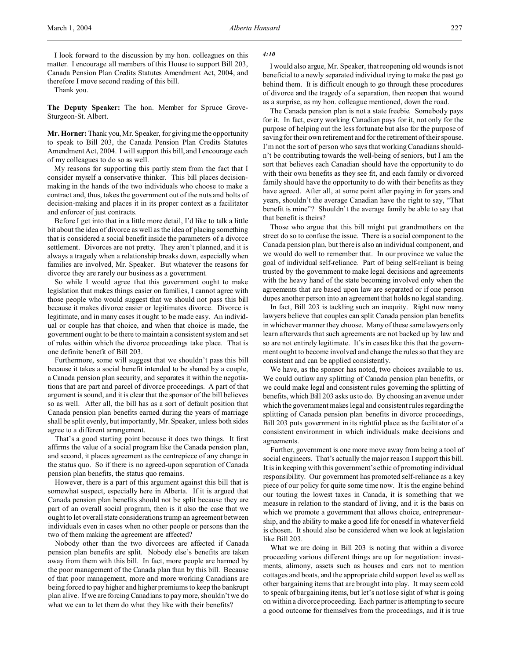Thank you.

**The Deputy Speaker:** The hon. Member for Spruce Grove-Sturgeon-St. Albert.

**Mr. Horner:** Thank you, Mr. Speaker, for giving me the opportunity to speak to Bill 203, the Canada Pension Plan Credits Statutes Amendment Act, 2004. I will support this bill, and I encourage each of my colleagues to do so as well.

My reasons for supporting this partly stem from the fact that I consider myself a conservative thinker. This bill places decisionmaking in the hands of the two individuals who choose to make a contract and, thus, takes the government out of the nuts and bolts of decision-making and places it in its proper context as a facilitator and enforcer of just contracts.

Before I get into that in a little more detail, I'd like to talk a little bit about the idea of divorce as well as the idea of placing something that is considered a social benefit inside the parameters of a divorce settlement. Divorces are not pretty. They aren't planned, and it is always a tragedy when a relationship breaks down, especially when families are involved, Mr. Speaker. But whatever the reasons for divorce they are rarely our business as a government.

So while I would agree that this government ought to make legislation that makes things easier on families, I cannot agree with those people who would suggest that we should not pass this bill because it makes divorce easier or legitimates divorce. Divorce is legitimate, and in many cases it ought to be made easy. An individual or couple has that choice, and when that choice is made, the government ought to be there to maintain a consistent system and set of rules within which the divorce proceedings take place. That is one definite benefit of Bill 203.

Furthermore, some will suggest that we shouldn't pass this bill because it takes a social benefit intended to be shared by a couple, a Canada pension plan security, and separates it within the negotiations that are part and parcel of divorce proceedings. A part of that argument is sound, and it is clear that the sponsor of the bill believes so as well. After all, the bill has as a sort of default position that Canada pension plan benefits earned during the years of marriage shall be split evenly, but importantly, Mr. Speaker, unless both sides agree to a different arrangement.

That's a good starting point because it does two things. It first affirms the value of a social program like the Canada pension plan, and second, it places agreement as the centrepiece of any change in the status quo. So if there is no agreed-upon separation of Canada pension plan benefits, the status quo remains.

However, there is a part of this argument against this bill that is somewhat suspect, especially here in Alberta. If it is argued that Canada pension plan benefits should not be split because they are part of an overall social program, then is it also the case that we ought to let overall state considerations trump an agreement between individuals even in cases when no other people or persons than the two of them making the agreement are affected?

Nobody other than the two divorcees are affected if Canada pension plan benefits are split. Nobody else's benefits are taken away from them with this bill. In fact, more people are harmed by the poor management of the Canada plan than by this bill. Because of that poor management, more and more working Canadians are being forced to pay higher and higher premiums to keep the bankrupt plan alive. If we are forcing Canadians to pay more, shouldn't we do what we can to let them do what they like with their benefits?

#### *4:10*

I would also argue, Mr. Speaker, that reopening old wounds is not beneficial to a newly separated individual trying to make the past go behind them. It is difficult enough to go through these procedures of divorce and the tragedy of a separation, then reopen that wound as a surprise, as my hon. colleague mentioned, down the road.

The Canada pension plan is not a state freebie. Somebody pays for it. In fact, every working Canadian pays for it, not only for the purpose of helping out the less fortunate but also for the purpose of saving for their own retirement and for the retirement of their spouse. I'm not the sort of person who says that working Canadians shouldn't be contributing towards the well-being of seniors, but I am the sort that believes each Canadian should have the opportunity to do with their own benefits as they see fit, and each family or divorced family should have the opportunity to do with their benefits as they have agreed. After all, at some point after paying in for years and years, shouldn't the average Canadian have the right to say, "That benefit is mine"? Shouldn't the average family be able to say that that benefit is theirs?

Those who argue that this bill might put grandmothers on the street do so to confuse the issue. There is a social component to the Canada pension plan, but there is also an individual component, and we would do well to remember that. In our province we value the goal of individual self-reliance. Part of being self-reliant is being trusted by the government to make legal decisions and agreements with the heavy hand of the state becoming involved only when the agreements that are based upon law are separated or if one person dupes another person into an agreement that holds no legal standing.

In fact, Bill 203 is tackling such an inequity. Right now many lawyers believe that couples can split Canada pension plan benefits in whichever manner they choose. Many of these same lawyers only learn afterwards that such agreements are not backed up by law and so are not entirely legitimate. It's in cases like this that the government ought to become involved and change the rules so that they are consistent and can be applied consistently.

We have, as the sponsor has noted, two choices available to us. We could outlaw any splitting of Canada pension plan benefits, or we could make legal and consistent rules governing the splitting of benefits, which Bill 203 asks us to do. By choosing an avenue under which the government makes legal and consistent rules regarding the splitting of Canada pension plan benefits in divorce proceedings, Bill 203 puts government in its rightful place as the facilitator of a consistent environment in which individuals make decisions and agreements.

Further, government is one more move away from being a tool of social engineers. That's actually the major reason I support this bill. It is in keeping with this government's ethic of promoting individual responsibility. Our government has promoted self-reliance as a key piece of our policy for quite some time now. It is the engine behind our touting the lowest taxes in Canada, it is something that we measure in relation to the standard of living, and it is the basis on which we promote a government that allows choice, entrepreneurship, and the ability to make a good life for oneself in whatever field is chosen. It should also be considered when we look at legislation like Bill 203.

What we are doing in Bill 203 is noting that within a divorce proceeding various different things are up for negotiation: investments, alimony, assets such as houses and cars not to mention cottages and boats, and the appropriate child support level as well as other bargaining items that are brought into play. It may seem cold to speak of bargaining items, but let's not lose sight of what is going on within a divorce proceeding. Each partner is attempting to secure a good outcome for themselves from the proceedings, and it is true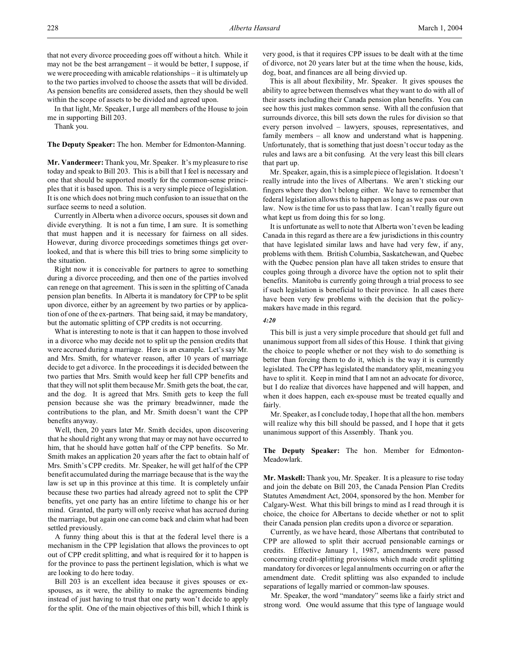In that light, Mr. Speaker, I urge all members of the House to join me in supporting Bill 203.

Thank you.

**The Deputy Speaker:** The hon. Member for Edmonton-Manning.

**Mr. Vandermeer:** Thank you, Mr. Speaker. It's my pleasure to rise today and speak to Bill 203. This is a bill that I feel is necessary and one that should be supported mostly for the common-sense principles that it is based upon. This is a very simple piece of legislation. It is one which does not bring much confusion to an issue that on the surface seems to need a solution.

Currently in Alberta when a divorce occurs, spouses sit down and divide everything. It is not a fun time, I am sure. It is something that must happen and it is necessary for fairness on all sides. However, during divorce proceedings sometimes things get overlooked, and that is where this bill tries to bring some simplicity to the situation.

Right now it is conceivable for partners to agree to something during a divorce proceeding, and then one of the parties involved can renege on that agreement. This is seen in the splitting of Canada pension plan benefits. In Alberta it is mandatory for CPP to be split upon divorce, either by an agreement by two parties or by application of one of the ex-partners. That being said, it may be mandatory, but the automatic splitting of CPP credits is not occurring.

What is interesting to note is that it can happen to those involved in a divorce who may decide not to split up the pension credits that were accrued during a marriage. Here is an example. Let's say Mr. and Mrs. Smith, for whatever reason, after 10 years of marriage decide to get a divorce. In the proceedings it is decided between the two parties that Mrs. Smith would keep her full CPP benefits and that they will not split them because Mr. Smith gets the boat, the car, and the dog. It is agreed that Mrs. Smith gets to keep the full pension because she was the primary breadwinner, made the contributions to the plan, and Mr. Smith doesn't want the CPP benefits anyway.

Well, then, 20 years later Mr. Smith decides, upon discovering that he should right any wrong that may or may not have occurred to him, that he should have gotten half of the CPP benefits. So Mr. Smith makes an application 20 years after the fact to obtain half of Mrs. Smith's CPP credits. Mr. Speaker, he will get half of the CPP benefit accumulated during the marriage because that is the way the law is set up in this province at this time. It is completely unfair because these two parties had already agreed not to split the CPP benefits, yet one party has an entire lifetime to change his or her mind. Granted, the party will only receive what has accrued during the marriage, but again one can come back and claim what had been settled previously.

A funny thing about this is that at the federal level there is a mechanism in the CPP legislation that allows the provinces to opt out of CPP credit splitting, and what is required for it to happen is for the province to pass the pertinent legislation, which is what we are looking to do here today.

Bill 203 is an excellent idea because it gives spouses or exspouses, as it were, the ability to make the agreements binding instead of just having to trust that one party won't decide to apply for the split. One of the main objectives of this bill, which I think is

very good, is that it requires CPP issues to be dealt with at the time of divorce, not 20 years later but at the time when the house, kids, dog, boat, and finances are all being divvied up.

This is all about flexibility, Mr. Speaker. It gives spouses the ability to agree between themselves what they want to do with all of their assets including their Canada pension plan benefits. You can see how this just makes common sense. With all the confusion that surrounds divorce, this bill sets down the rules for division so that every person involved – lawyers, spouses, representatives, and family members – all know and understand what is happening. Unfortunately, that is something that just doesn't occur today as the rules and laws are a bit confusing. At the very least this bill clears that part up.

Mr. Speaker, again, this is a simple piece of legislation. It doesn't really intrude into the lives of Albertans. We aren't sticking our fingers where they don't belong either. We have to remember that federal legislation allows this to happen as long as we pass our own law. Now is the time for us to pass that law. I can't really figure out what kept us from doing this for so long.

It is unfortunate as well to note that Alberta won't even be leading Canada in this regard as there are a few jurisdictions in this country that have legislated similar laws and have had very few, if any, problems with them. British Columbia, Saskatchewan, and Quebec with the Quebec pension plan have all taken strides to ensure that couples going through a divorce have the option not to split their benefits. Manitoba is currently going through a trial process to see if such legislation is beneficial to their province. In all cases there have been very few problems with the decision that the policymakers have made in this regard.

### *4:20*

This bill is just a very simple procedure that should get full and unanimous support from all sides of this House. I think that giving the choice to people whether or not they wish to do something is better than forcing them to do it, which is the way it is currently legislated. The CPP has legislated the mandatory split, meaning you have to split it. Keep in mind that I am not an advocate for divorce, but I do realize that divorces have happened and will happen, and when it does happen, each ex-spouse must be treated equally and fairly.

Mr. Speaker, as I conclude today, I hope that all the hon. members will realize why this bill should be passed, and I hope that it gets unanimous support of this Assembly. Thank you.

**The Deputy Speaker:** The hon. Member for Edmonton-Meadowlark.

**Mr. Maskell:** Thank you, Mr. Speaker. It is a pleasure to rise today and join the debate on Bill 203, the Canada Pension Plan Credits Statutes Amendment Act, 2004, sponsored by the hon. Member for Calgary-West. What this bill brings to mind as I read through it is choice, the choice for Albertans to decide whether or not to split their Canada pension plan credits upon a divorce or separation.

Currently, as we have heard, those Albertans that contributed to CPP are allowed to split their accrued pensionable earnings or credits. Effective January 1, 1987, amendments were passed concerning credit-splitting provisions which made credit splitting mandatory for divorces or legal annulments occurring on or after the amendment date. Credit splitting was also expanded to include separations of legally married or common-law spouses.

Mr. Speaker, the word "mandatory" seems like a fairly strict and strong word. One would assume that this type of language would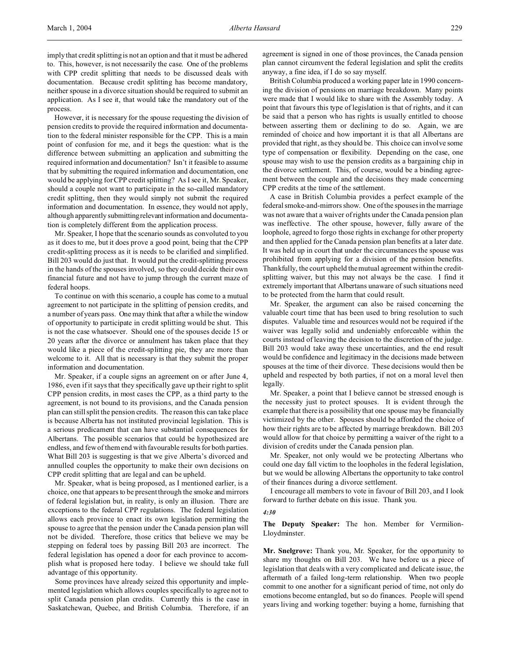imply that credit splitting is not an option and that it must be adhered to. This, however, is not necessarily the case. One of the problems with CPP credit splitting that needs to be discussed deals with documentation. Because credit splitting has become mandatory, neither spouse in a divorce situation should be required to submit an application. As I see it, that would take the mandatory out of the process.

However, it is necessary for the spouse requesting the division of pension credits to provide the required information and documentation to the federal minister responsible for the CPP. This is a main point of confusion for me, and it begs the question: what is the difference between submitting an application and submitting the required information and documentation? Isn't it feasible to assume that by submitting the required information and documentation, one would be applying for CPP credit splitting? As I see it, Mr. Speaker, should a couple not want to participate in the so-called mandatory credit splitting, then they would simply not submit the required information and documentation. In essence, they would not apply, although apparently submitting relevant information and documentation is completely different from the application process.

Mr. Speaker, I hope that the scenario sounds as convoluted to you as it does to me, but it does prove a good point, being that the CPP credit-splitting process as it is needs to be clarified and simplified. Bill 203 would do just that. It would put the credit-splitting process in the hands of the spouses involved, so they could decide their own financial future and not have to jump through the current maze of federal hoops.

To continue on with this scenario, a couple has come to a mutual agreement to not participate in the splitting of pension credits, and a number of years pass. One may think that after a while the window of opportunity to participate in credit splitting would be shut. This is not the case whatsoever. Should one of the spouses decide 15 or 20 years after the divorce or annulment has taken place that they would like a piece of the credit-splitting pie, they are more than welcome to it. All that is necessary is that they submit the proper information and documentation.

Mr. Speaker, if a couple signs an agreement on or after June 4, 1986, even if it says that they specifically gave up their right to split CPP pension credits, in most cases the CPP, as a third party to the agreement, is not bound to its provisions, and the Canada pension plan can still split the pension credits. The reason this can take place is because Alberta has not instituted provincial legislation. This is a serious predicament that can have substantial consequences for Albertans. The possible scenarios that could be hypothesized are endless, and few of them end with favourable results for both parties. What Bill 203 is suggesting is that we give Alberta's divorced and annulled couples the opportunity to make their own decisions on CPP credit splitting that are legal and can be upheld.

Mr. Speaker, what is being proposed, as I mentioned earlier, is a choice, one that appears to be present through the smoke and mirrors of federal legislation but, in reality, is only an illusion. There are exceptions to the federal CPP regulations. The federal legislation allows each province to enact its own legislation permitting the spouse to agree that the pension under the Canada pension plan will not be divided. Therefore, those critics that believe we may be stepping on federal toes by passing Bill 203 are incorrect. The federal legislation has opened a door for each province to accomplish what is proposed here today. I believe we should take full advantage of this opportunity.

Some provinces have already seized this opportunity and implemented legislation which allows couples specifically to agree not to split Canada pension plan credits. Currently this is the case in Saskatchewan, Quebec, and British Columbia. Therefore, if an agreement is signed in one of those provinces, the Canada pension plan cannot circumvent the federal legislation and split the credits anyway, a fine idea, if I do so say myself.

British Columbia produced a working paper late in 1990 concerning the division of pensions on marriage breakdown. Many points were made that I would like to share with the Assembly today. A point that favours this type of legislation is that of rights, and it can be said that a person who has rights is usually entitled to choose between asserting them or declining to do so. Again, we are reminded of choice and how important it is that all Albertans are provided that right, as they should be. This choice can involve some type of compensation or flexibility. Depending on the case, one spouse may wish to use the pension credits as a bargaining chip in the divorce settlement. This, of course, would be a binding agreement between the couple and the decisions they made concerning CPP credits at the time of the settlement.

A case in British Columbia provides a perfect example of the federal smoke-and-mirrors show. One of the spouses in the marriage was not aware that a waiver of rights under the Canada pension plan was ineffective. The other spouse, however, fully aware of the loophole, agreed to forgo those rights in exchange for other property and then applied for the Canada pension plan benefits at a later date. It was held up in court that under the circumstances the spouse was prohibited from applying for a division of the pension benefits. Thankfully, the court upheld the mutual agreement within the creditsplitting waiver, but this may not always be the case. I find it extremely important that Albertans unaware of such situations need to be protected from the harm that could result.

Mr. Speaker, the argument can also be raised concerning the valuable court time that has been used to bring resolution to such disputes. Valuable time and resources would not be required if the waiver was legally solid and undeniably enforceable within the courts instead of leaving the decision to the discretion of the judge. Bill 203 would take away these uncertainties, and the end result would be confidence and legitimacy in the decisions made between spouses at the time of their divorce. These decisions would then be upheld and respected by both parties, if not on a moral level then legally.

Mr. Speaker, a point that I believe cannot be stressed enough is the necessity just to protect spouses. It is evident through the example that there is a possibility that one spouse may be financially victimized by the other. Spouses should be afforded the choice of how their rights are to be affected by marriage breakdown. Bill 203 would allow for that choice by permitting a waiver of the right to a division of credits under the Canada pension plan.

Mr. Speaker, not only would we be protecting Albertans who could one day fall victim to the loopholes in the federal legislation, but we would be allowing Albertans the opportunity to take control of their finances during a divorce settlement.

I encourage all members to vote in favour of Bill 203, and I look forward to further debate on this issue. Thank you.

#### *4:30*

## **The Deputy Speaker:** The hon. Member for Vermilion-Lloydminster.

**Mr. Snelgrove:** Thank you, Mr. Speaker, for the opportunity to share my thoughts on Bill 203. We have before us a piece of legislation that deals with a very complicated and delicate issue, the aftermath of a failed long-term relationship. When two people commit to one another for a significant period of time, not only do emotions become entangled, but so do finances. People will spend years living and working together: buying a home, furnishing that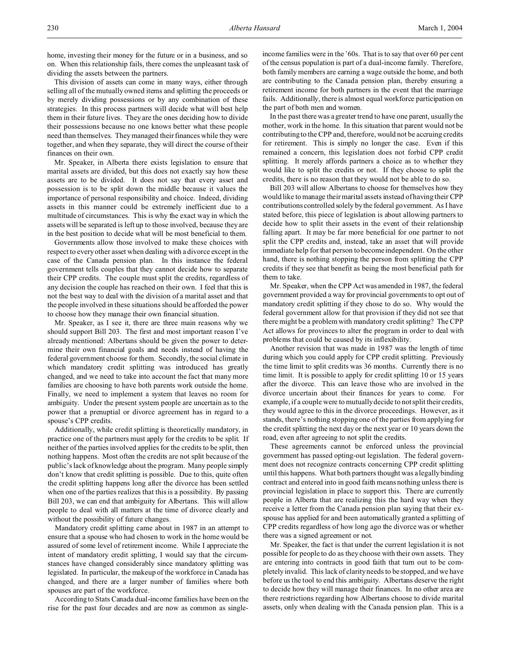This division of assets can come in many ways, either through selling all of the mutually owned items and splitting the proceeds or by merely dividing possessions or by any combination of these strategies. In this process partners will decide what will best help them in their future lives. They are the ones deciding how to divide their possessions because no one knows better what these people need than themselves. They managed their finances while they were together, and when they separate, they will direct the course of their finances on their own.

Mr. Speaker, in Alberta there exists legislation to ensure that marital assets are divided, but this does not exactly say how these assets are to be divided. It does not say that every asset and possession is to be split down the middle because it values the importance of personal responsibility and choice. Indeed, dividing assets in this manner could be extremely inefficient due to a multitude of circumstances. This is why the exact way in which the assets will be separated is left up to those involved, because they are in the best position to decide what will be most beneficial to them.

Governments allow those involved to make these choices with respect to every other asset when dealing with a divorce except in the case of the Canada pension plan. In this instance the federal government tells couples that they cannot decide how to separate their CPP credits. The couple must split the credits, regardless of any decision the couple has reached on their own. I feel that this is not the best way to deal with the division of a marital asset and that the people involved in these situations should be afforded the power to choose how they manage their own financial situation.

Mr. Speaker, as I see it, there are three main reasons why we should support Bill 203. The first and most important reason I've already mentioned: Albertans should be given the power to determine their own financial goals and needs instead of having the federal government choose for them. Secondly, the social climate in which mandatory credit splitting was introduced has greatly changed, and we need to take into account the fact that many more families are choosing to have both parents work outside the home. Finally, we need to implement a system that leaves no room for ambiguity. Under the present system people are uncertain as to the power that a prenuptial or divorce agreement has in regard to a spouse's CPP credits.

Additionally, while credit splitting is theoretically mandatory, in practice one of the partners must apply for the credits to be split. If neither of the parties involved applies for the credits to be split, then nothing happens. Most often the credits are not split because of the public's lack of knowledge about the program. Many people simply don't know that credit splitting is possible. Due to this, quite often the credit splitting happens long after the divorce has been settled when one of the parties realizes that this is a possibility. By passing Bill 203, we can end that ambiguity for Albertans. This will allow people to deal with all matters at the time of divorce clearly and without the possibility of future changes.

Mandatory credit splitting came about in 1987 in an attempt to ensure that a spouse who had chosen to work in the home would be assured of some level of retirement income. While I appreciate the intent of mandatory credit splitting, I would say that the circumstances have changed considerably since mandatory splitting was legislated. In particular, the makeup of the workforce in Canada has changed, and there are a larger number of families where both spouses are part of the workforce.

According to Stats Canada dual-income families have been on the rise for the past four decades and are now as common as singleincome families were in the '60s. That is to say that over 60 per cent of the census population is part of a dual-income family. Therefore, both family members are earning a wage outside the home, and both are contributing to the Canada pension plan, thereby ensuring a retirement income for both partners in the event that the marriage fails. Additionally, there is almost equal workforce participation on the part of both men and women.

In the past there was a greater trend to have one parent, usually the mother, work in the home. In this situation that parent would not be contributing to the CPP and, therefore, would not be accruing credits for retirement. This is simply no longer the case. Even if this remained a concern, this legislation does not forbid CPP credit splitting. It merely affords partners a choice as to whether they would like to split the credits or not. If they choose to split the credits, there is no reason that they would not be able to do so.

Bill 203 will allow Albertans to choose for themselves how they would like to manage their marital assets instead of having their CPP contributions controlled solely by the federal government. As I have stated before, this piece of legislation is about allowing partners to decide how to split their assets in the event of their relationship falling apart. It may be far more beneficial for one partner to not split the CPP credits and, instead, take an asset that will provide immediate help for that person to become independent. On the other hand, there is nothing stopping the person from splitting the CPP credits if they see that benefit as being the most beneficial path for them to take.

Mr. Speaker, when the CPP Act was amended in 1987, the federal government provided a way for provincial governments to opt out of mandatory credit splitting if they chose to do so. Why would the federal government allow for that provision if they did not see that there might be a problem with mandatory credit splitting? The CPP Act allows for provinces to alter the program in order to deal with problems that could be caused by its inflexibility.

Another revision that was made in 1987 was the length of time during which you could apply for CPP credit splitting. Previously the time limit to split credits was 36 months. Currently there is no time limit. It is possible to apply for credit splitting 10 or 15 years after the divorce. This can leave those who are involved in the divorce uncertain about their finances for years to come. For example, if a couple were to mutually decide to not split their credits, they would agree to this in the divorce proceedings. However, as it stands, there's nothing stopping one of the parties from applying for the credit splitting the next day or the next year or 10 years down the road, even after agreeing to not split the credits.

These agreements cannot be enforced unless the provincial government has passed opting-out legislation. The federal government does not recognize contracts concerning CPP credit splitting until this happens. What both partners thought was a legally binding contract and entered into in good faith means nothing unless there is provincial legislation in place to support this. There are currently people in Alberta that are realizing this the hard way when they receive a letter from the Canada pension plan saying that their exspouse has applied for and been automatically granted a splitting of CPP credits regardless of how long ago the divorce was or whether there was a signed agreement or not.

Mr. Speaker, the fact is that under the current legislation it is not possible for people to do as they choose with their own assets. They are entering into contracts in good faith that turn out to be completely invalid. This lack of clarity needs to be stopped, and we have before us the tool to end this ambiguity. Albertans deserve the right to decide how they will manage their finances. In no other area are there restrictions regarding how Albertans choose to divide marital assets, only when dealing with the Canada pension plan. This is a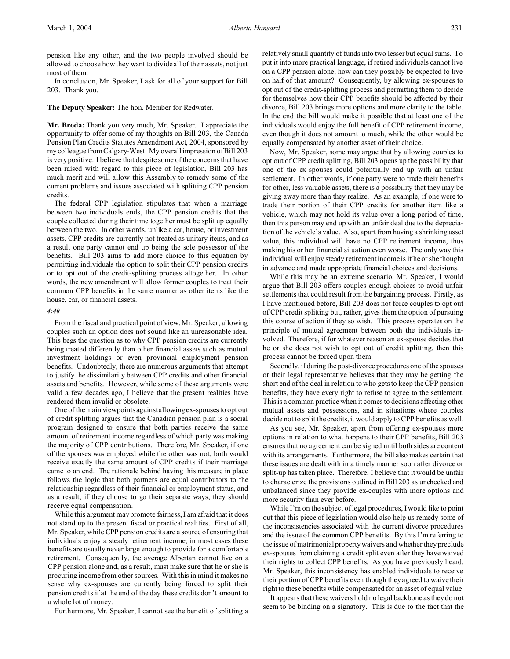pension like any other, and the two people involved should be allowed to choose how they want to divide all of their assets, not just most of them.

In conclusion, Mr. Speaker, I ask for all of your support for Bill 203. Thank you.

#### **The Deputy Speaker:** The hon. Member for Redwater.

**Mr. Broda:** Thank you very much, Mr. Speaker. I appreciate the opportunity to offer some of my thoughts on Bill 203, the Canada Pension Plan Credits Statutes Amendment Act, 2004, sponsored by my colleague from Calgary-West. My overall impression of Bill 203 is very positive. I believe that despite some of the concerns that have been raised with regard to this piece of legislation, Bill 203 has much merit and will allow this Assembly to remedy some of the current problems and issues associated with splitting CPP pension credits.

The federal CPP legislation stipulates that when a marriage between two individuals ends, the CPP pension credits that the couple collected during their time together must be split up equally between the two. In other words, unlike a car, house, or investment assets, CPP credits are currently not treated as unitary items, and as a result one party cannot end up being the sole possessor of the benefits. Bill 203 aims to add more choice to this equation by permitting individuals the option to split their CPP pension credits or to opt out of the credit-splitting process altogether. In other words, the new amendment will allow former couples to treat their common CPP benefits in the same manner as other items like the house, car, or financial assets.

#### *4:40*

From the fiscal and practical point of view, Mr. Speaker, allowing couples such an option does not sound like an unreasonable idea. This begs the question as to why CPP pension credits are currently being treated differently than other financial assets such as mutual investment holdings or even provincial employment pension benefits. Undoubtedly, there are numerous arguments that attempt to justify the dissimilarity between CPP credits and other financial assets and benefits. However, while some of these arguments were valid a few decades ago, I believe that the present realities have rendered them invalid or obsolete.

One of the main viewpoints against allowing ex-spouses to opt out of credit splitting argues that the Canadian pension plan is a social program designed to ensure that both parties receive the same amount of retirement income regardless of which party was making the majority of CPP contributions. Therefore, Mr. Speaker, if one of the spouses was employed while the other was not, both would receive exactly the same amount of CPP credits if their marriage came to an end. The rationale behind having this measure in place follows the logic that both partners are equal contributors to the relationship regardless of their financial or employment status, and as a result, if they choose to go their separate ways, they should receive equal compensation.

While this argument may promote fairness, I am afraid that it does not stand up to the present fiscal or practical realities. First of all, Mr. Speaker, while CPP pension credits are a source of ensuring that individuals enjoy a steady retirement income, in most cases these benefits are usually never large enough to provide for a comfortable retirement. Consequently, the average Albertan cannot live on a CPP pension alone and, as a result, must make sure that he or she is procuring income from other sources. With this in mind it makes no sense why ex-spouses are currently being forced to split their pension credits if at the end of the day these credits don't amount to a whole lot of money.

Furthermore, Mr. Speaker, I cannot see the benefit of splitting a

relatively small quantity of funds into two lesser but equal sums. To put it into more practical language, if retired individuals cannot live on a CPP pension alone, how can they possibly be expected to live on half of that amount? Consequently, by allowing ex-spouses to opt out of the credit-splitting process and permitting them to decide for themselves how their CPP benefits should be affected by their divorce, Bill 203 brings more options and more clarity to the table. In the end the bill would make it possible that at least one of the individuals would enjoy the full benefit of CPP retirement income, even though it does not amount to much, while the other would be equally compensated by another asset of their choice.

Now, Mr. Speaker, some may argue that by allowing couples to opt out of CPP credit splitting, Bill 203 opens up the possibility that one of the ex-spouses could potentially end up with an unfair settlement. In other words, if one party were to trade their benefits for other, less valuable assets, there is a possibility that they may be giving away more than they realize. As an example, if one were to trade their portion of their CPP credits for another item like a vehicle, which may not hold its value over a long period of time, then this person may end up with an unfair deal due to the depreciation of the vehicle's value. Also, apart from having a shrinking asset value, this individual will have no CPP retirement income, thus making his or her financial situation even worse. The only way this individual will enjoy steady retirement income is if he or she thought in advance and made appropriate financial choices and decisions.

While this may be an extreme scenario, Mr. Speaker, I would argue that Bill 203 offers couples enough choices to avoid unfair settlements that could result from the bargaining process. Firstly, as I have mentioned before, Bill 203 does not force couples to opt out of CPP credit splitting but, rather, gives them the option of pursuing this course of action if they so wish. This process operates on the principle of mutual agreement between both the individuals involved. Therefore, if for whatever reason an ex-spouse decides that he or she does not wish to opt out of credit splitting, then this process cannot be forced upon them.

Secondly, if during the post-divorce procedures one of the spouses or their legal representative believes that they may be getting the short end of the deal in relation to who gets to keep the CPP pension benefits, they have every right to refuse to agree to the settlement. This is a common practice when it comes to decisions affecting other mutual assets and possessions, and in situations where couples decide not to split the credits, it would apply to CPP benefits as well.

As you see, Mr. Speaker, apart from offering ex-spouses more options in relation to what happens to their CPP benefits, Bill 203 ensures that no agreement can be signed until both sides are content with its arrangements. Furthermore, the bill also makes certain that these issues are dealt with in a timely manner soon after divorce or split-up has taken place. Therefore, I believe that it would be unfair to characterize the provisions outlined in Bill 203 as unchecked and unbalanced since they provide ex-couples with more options and more security than ever before.

While I'm on the subject of legal procedures, I would like to point out that this piece of legislation would also help us remedy some of the inconsistencies associated with the current divorce procedures and the issue of the common CPP benefits. By this I'm referring to the issue of matrimonial property waivers and whether they preclude ex-spouses from claiming a credit split even after they have waived their rights to collect CPP benefits. As you have previously heard, Mr. Speaker, this inconsistency has enabled individuals to receive their portion of CPP benefits even though they agreed to waive their right to these benefits while compensated for an asset of equal value.

It appears that these waivers hold no legal backbone as they do not seem to be binding on a signatory. This is due to the fact that the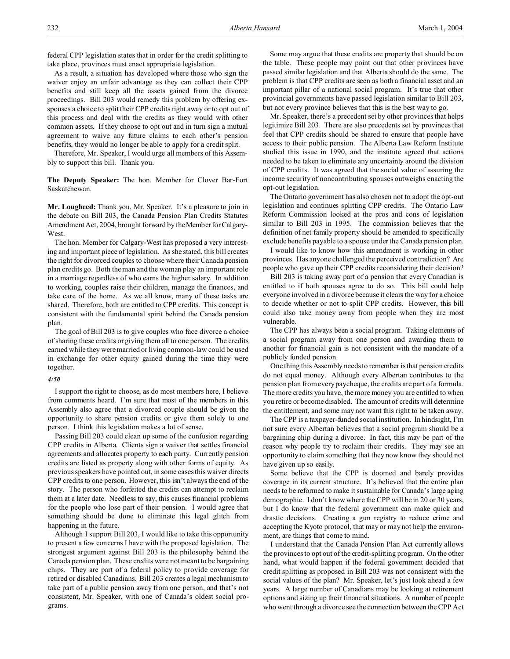federal CPP legislation states that in order for the credit splitting to take place, provinces must enact appropriate legislation.

As a result, a situation has developed where those who sign the waiver enjoy an unfair advantage as they can collect their CPP benefits and still keep all the assets gained from the divorce proceedings. Bill 203 would remedy this problem by offering exspouses a choice to split their CPP credits right away or to opt out of this process and deal with the credits as they would with other common assets. If they choose to opt out and in turn sign a mutual agreement to waive any future claims to each other's pension benefits, they would no longer be able to apply for a credit split.

Therefore, Mr. Speaker, I would urge all members of this Assembly to support this bill. Thank you.

**The Deputy Speaker:** The hon. Member for Clover Bar-Fort Saskatchewan.

**Mr. Lougheed:** Thank you, Mr. Speaker. It's a pleasure to join in the debate on Bill 203, the Canada Pension Plan Credits Statutes Amendment Act, 2004, brought forward by the Member for Calgary-West.

The hon. Member for Calgary-West has proposed a very interesting and important piece of legislation. As she stated, this bill creates the right for divorced couples to choose where their Canada pension plan credits go. Both the man and the woman play an important role in a marriage regardless of who earns the higher salary. In addition to working, couples raise their children, manage the finances, and take care of the home. As we all know, many of these tasks are shared. Therefore, both are entitled to CPP credits. This concept is consistent with the fundamental spirit behind the Canada pension plan.

The goal of Bill 203 is to give couples who face divorce a choice of sharing these credits or giving them all to one person. The credits earned while they were married or living common-law could be used in exchange for other equity gained during the time they were together.

### *4:50*

I support the right to choose, as do most members here, I believe from comments heard. I'm sure that most of the members in this Assembly also agree that a divorced couple should be given the opportunity to share pension credits or give them solely to one person. I think this legislation makes a lot of sense.

Passing Bill 203 could clean up some of the confusion regarding CPP credits in Alberta. Clients sign a waiver that settles financial agreements and allocates property to each party. Currently pension credits are listed as property along with other forms of equity. As previous speakers have pointed out, in some cases this waiver directs CPP credits to one person. However, this isn't always the end of the story. The person who forfeited the credits can attempt to reclaim them at a later date. Needless to say, this causes financial problems for the people who lose part of their pension. I would agree that something should be done to eliminate this legal glitch from happening in the future.

Although I support Bill 203, I would like to take this opportunity to present a few concerns I have with the proposed legislation. The strongest argument against Bill 203 is the philosophy behind the Canada pension plan. These credits were not meant to be bargaining chips. They are part of a federal policy to provide coverage for retired or disabled Canadians. Bill 203 creates a legal mechanism to take part of a public pension away from one person, and that's not consistent, Mr. Speaker, with one of Canada's oldest social programs.

Some may argue that these credits are property that should be on the table. These people may point out that other provinces have passed similar legislation and that Alberta should do the same. The problem is that CPP credits are seen as both a financial asset and an important pillar of a national social program. It's true that other provincial governments have passed legislation similar to Bill 203, but not every province believes that this is the best way to go.

Mr. Speaker, there's a precedent set by other provinces that helps legitimize Bill 203. There are also precedents set by provinces that feel that CPP credits should be shared to ensure that people have access to their public pension. The Alberta Law Reform Institute studied this issue in 1990, and the institute agreed that actions needed to be taken to eliminate any uncertainty around the division of CPP credits. It was agreed that the social value of assuring the income security of noncontributing spouses outweighs enacting the opt-out legislation.

The Ontario government has also chosen not to adopt the opt-out legislation and continues splitting CPP credits. The Ontario Law Reform Commission looked at the pros and cons of legislation similar to Bill 203 in 1995. The commission believes that the definition of net family property should be amended to specifically exclude benefits payable to a spouse under the Canada pension plan.

I would like to know how this amendment is working in other provinces. Has anyone challenged the perceived contradiction? Are people who gave up their CPP credits reconsidering their decision?

Bill 203 is taking away part of a pension that every Canadian is entitled to if both spouses agree to do so. This bill could help everyone involved in a divorce because it clears the way for a choice to decide whether or not to split CPP credits. However, this bill could also take money away from people when they are most vulnerable.

The CPP has always been a social program. Taking elements of a social program away from one person and awarding them to another for financial gain is not consistent with the mandate of a publicly funded pension.

One thing this Assembly needs to remember is that pension credits do not equal money. Although every Albertan contributes to the pension plan from every paycheque, the credits are part of a formula. The more credits you have, the more money you are entitled to when you retire or become disabled. The amount of credits will determine the entitlement, and some may not want this right to be taken away.

The CPP is a taxpayer-funded social institution. In hindsight, I'm not sure every Albertan believes that a social program should be a bargaining chip during a divorce. In fact, this may be part of the reason why people try to reclaim their credits. They may see an opportunity to claim something that they now know they should not have given up so easily.

Some believe that the CPP is doomed and barely provides coverage in its current structure. It's believed that the entire plan needs to be reformed to make it sustainable for Canada's large aging demographic. I don't know where the CPP will be in 20 or 30 years, but I do know that the federal government can make quick and drastic decisions. Creating a gun registry to reduce crime and accepting the Kyoto protocol, that may or may not help the environment, are things that come to mind.

I understand that the Canada Pension Plan Act currently allows the provinces to opt out of the credit-splitting program. On the other hand, what would happen if the federal government decided that credit splitting as proposed in Bill 203 was not consistent with the social values of the plan? Mr. Speaker, let's just look ahead a few years. A large number of Canadians may be looking at retirement options and sizing up their financial situations. A number of people who went through a divorce see the connection between the CPP Act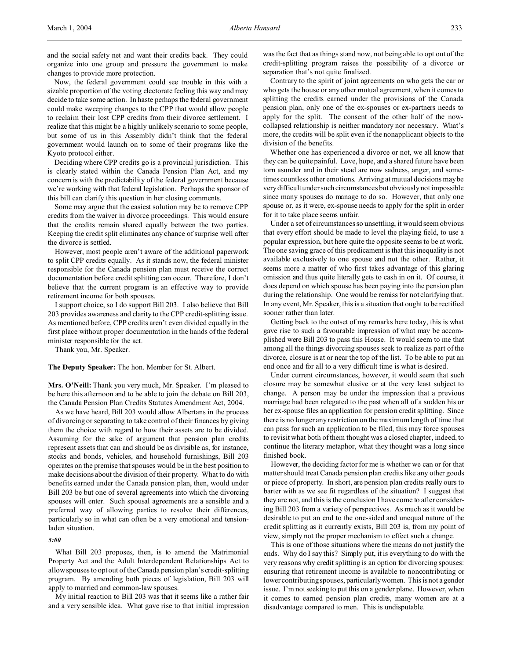and the social safety net and want their credits back. They could organize into one group and pressure the government to make changes to provide more protection.

Now, the federal government could see trouble in this with a sizable proportion of the voting electorate feeling this way and may decide to take some action. In haste perhaps the federal government could make sweeping changes to the CPP that would allow people to reclaim their lost CPP credits from their divorce settlement. I realize that this might be a highly unlikely scenario to some people, but some of us in this Assembly didn't think that the federal government would launch on to some of their programs like the Kyoto protocol either.

Deciding where CPP credits go is a provincial jurisdiction. This is clearly stated within the Canada Pension Plan Act, and my concern is with the predictability of the federal government because we're working with that federal legislation. Perhaps the sponsor of this bill can clarify this question in her closing comments.

Some may argue that the easiest solution may be to remove CPP credits from the waiver in divorce proceedings. This would ensure that the credits remain shared equally between the two parties. Keeping the credit split eliminates any chance of surprise well after the divorce is settled.

However, most people aren't aware of the additional paperwork to split CPP credits equally. As it stands now, the federal minister responsible for the Canada pension plan must receive the correct documentation before credit splitting can occur. Therefore, I don't believe that the current program is an effective way to provide retirement income for both spouses.

I support choice, so I do support Bill 203. I also believe that Bill 203 provides awareness and clarity to the CPP credit-splitting issue. As mentioned before, CPP credits aren't even divided equally in the first place without proper documentation in the hands of the federal minister responsible for the act.

Thank you, Mr. Speaker.

**The Deputy Speaker:** The hon. Member for St. Albert.

**Mrs. O'Neill:** Thank you very much, Mr. Speaker. I'm pleased to be here this afternoon and to be able to join the debate on Bill 203, the Canada Pension Plan Credits Statutes Amendment Act, 2004.

As we have heard, Bill 203 would allow Albertans in the process of divorcing or separating to take control of their finances by giving them the choice with regard to how their assets are to be divided. Assuming for the sake of argument that pension plan credits represent assets that can and should be as divisible as, for instance, stocks and bonds, vehicles, and household furnishings, Bill 203 operates on the premise that spouses would be in the best position to make decisions about the division of their property. What to do with benefits earned under the Canada pension plan, then, would under Bill 203 be but one of several agreements into which the divorcing spouses will enter. Such spousal agreements are a sensible and a preferred way of allowing parties to resolve their differences, particularly so in what can often be a very emotional and tensionladen situation.

#### *5:00*

What Bill 203 proposes, then, is to amend the Matrimonial Property Act and the Adult Interdependent Relationships Act to allow spouses to opt out of the Canada pension plan's credit-splitting program. By amending both pieces of legislation, Bill 203 will apply to married and common-law spouses.

My initial reaction to Bill 203 was that it seems like a rather fair and a very sensible idea. What gave rise to that initial impression was the fact that as things stand now, not being able to opt out of the credit-splitting program raises the possibility of a divorce or separation that's not quite finalized.

Contrary to the spirit of joint agreements on who gets the car or who gets the house or any other mutual agreement, when it comes to splitting the credits earned under the provisions of the Canada pension plan, only one of the ex-spouses or ex-partners needs to apply for the split. The consent of the other half of the nowcollapsed relationship is neither mandatory nor necessary. What's more, the credits will be split even if the nonapplicant objects to the division of the benefits.

Whether one has experienced a divorce or not, we all know that they can be quite painful. Love, hope, and a shared future have been torn asunder and in their stead are now sadness, anger, and sometimes countless other emotions. Arriving at mutual decisions may be very difficult under such circumstances but obviously not impossible since many spouses do manage to do so. However, that only one spouse or, as it were, ex-spouse needs to apply for the split in order for it to take place seems unfair.

Under a set of circumstances so unsettling, it would seem obvious that every effort should be made to level the playing field, to use a popular expression, but here quite the opposite seems to be at work. The one saving grace of this predicament is that this inequality is not available exclusively to one spouse and not the other. Rather, it seems more a matter of who first takes advantage of this glaring omission and thus quite literally gets to cash in on it. Of course, it does depend on which spouse has been paying into the pension plan during the relationship. One would be remiss for not clarifying that. In any event, Mr. Speaker, this is a situation that ought to be rectified sooner rather than later.

Getting back to the outset of my remarks here today, this is what gave rise to such a favourable impression of what may be accomplished were Bill 203 to pass this House. It would seem to me that among all the things divorcing spouses seek to realize as part of the divorce, closure is at or near the top of the list. To be able to put an end once and for all to a very difficult time is what is desired.

Under current circumstances, however, it would seem that such closure may be somewhat elusive or at the very least subject to change. A person may be under the impression that a previous marriage had been relegated to the past when all of a sudden his or her ex-spouse files an application for pension credit splitting. Since there is no longer any restriction on the maximum length of time that can pass for such an application to be filed, this may force spouses to revisit what both of them thought was a closed chapter, indeed, to continue the literary metaphor, what they thought was a long since finished book.

However, the deciding factor for me is whether we can or for that matter should treat Canada pension plan credits like any other goods or piece of property. In short, are pension plan credits really ours to barter with as we see fit regardless of the situation? I suggest that they are not, and this is the conclusion I have come to after considering Bill 203 from a variety of perspectives. As much as it would be desirable to put an end to the one-sided and unequal nature of the credit splitting as it currently exists, Bill 203 is, from my point of view, simply not the proper mechanism to effect such a change.

This is one of those situations where the means do not justify the ends. Why do I say this? Simply put, it is everything to do with the very reasons why credit splitting is an option for divorcing spouses: ensuring that retirement income is available to noncontributing or lower contributing spouses, particularly women. This is not a gender issue. I'm not seeking to put this on a gender plane. However, when it comes to earned pension plan credits, many women are at a disadvantage compared to men. This is undisputable.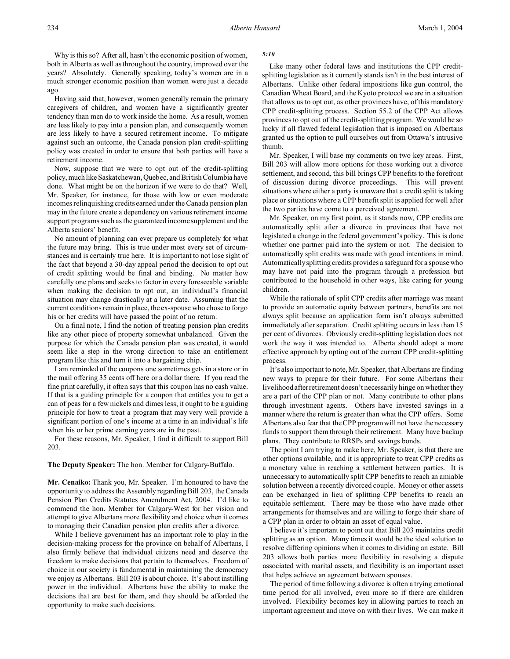Why is this so? After all, hasn't the economic position of women, both in Alberta as well as throughout the country, improved over the years? Absolutely. Generally speaking, today's women are in a much stronger economic position than women were just a decade ago.

Having said that, however, women generally remain the primary caregivers of children, and women have a significantly greater tendency than men do to work inside the home. As a result, women are less likely to pay into a pension plan, and consequently women are less likely to have a secured retirement income. To mitigate against such an outcome, the Canada pension plan credit-splitting policy was created in order to ensure that both parties will have a retirement income.

Now, suppose that we were to opt out of the credit-splitting policy, much like Saskatchewan, Quebec, and British Columbia have done. What might be on the horizon if we were to do that? Well, Mr. Speaker, for instance, for those with low or even moderate incomes relinquishing credits earned under the Canada pension plan may in the future create a dependency on various retirement income support programs such as the guaranteed income supplement and the Alberta seniors' benefit.

No amount of planning can ever prepare us completely for what the future may bring. This is true under most every set of circumstances and is certainly true here. It is important to not lose sight of the fact that beyond a 30-day appeal period the decision to opt out of credit splitting would be final and binding. No matter how carefully one plans and seeks to factor in every foreseeable variable when making the decision to opt out, an individual's financial situation may change drastically at a later date. Assuming that the current conditions remain in place, the ex-spouse who chose to forgo his or her credits will have passed the point of no return.

On a final note, I find the notion of treating pension plan credits like any other piece of property somewhat unbalanced. Given the purpose for which the Canada pension plan was created, it would seem like a step in the wrong direction to take an entitlement program like this and turn it into a bargaining chip.

I am reminded of the coupons one sometimes gets in a store or in the mail offering 35 cents off here or a dollar there. If you read the fine print carefully, it often says that this coupon has no cash value. If that is a guiding principle for a coupon that entitles you to get a can of peas for a few nickels and dimes less, it ought to be a guiding principle for how to treat a program that may very well provide a significant portion of one's income at a time in an individual's life when his or her prime earning years are in the past.

For these reasons, Mr. Speaker, I find it difficult to support Bill 203.

### **The Deputy Speaker:** The hon. Member for Calgary-Buffalo.

**Mr. Cenaiko:** Thank you, Mr. Speaker. I'm honoured to have the opportunity to address the Assembly regarding Bill 203, the Canada Pension Plan Credits Statutes Amendment Act, 2004. I'd like to commend the hon. Member for Calgary-West for her vision and attempt to give Albertans more flexibility and choice when it comes to managing their Canadian pension plan credits after a divorce.

While I believe government has an important role to play in the decision-making process for the province on behalf of Albertans, I also firmly believe that individual citizens need and deserve the freedom to make decisions that pertain to themselves. Freedom of choice in our society is fundamental in maintaining the democracy we enjoy as Albertans. Bill 203 is about choice. It's about instilling power in the individual. Albertans have the ability to make the decisions that are best for them, and they should be afforded the opportunity to make such decisions.

### *5:10*

Like many other federal laws and institutions the CPP creditsplitting legislation as it currently stands isn't in the best interest of Albertans. Unlike other federal impositions like gun control, the Canadian Wheat Board, and the Kyoto protocol we are in a situation that allows us to opt out, as other provinces have, of this mandatory CPP credit-splitting process. Section 55.2 of the CPP Act allows provinces to opt out of the credit-splitting program. We would be so lucky if all flawed federal legislation that is imposed on Albertans granted us the option to pull ourselves out from Ottawa's intrusive thumb.

Mr. Speaker, I will base my comments on two key areas. First, Bill 203 will allow more options for those working out a divorce settlement, and second, this bill brings CPP benefits to the forefront of discussion during divorce proceedings. This will prevent situations where either a party is unaware that a credit split is taking place or situations where a CPP benefit split is applied for well after the two parties have come to a perceived agreement.

Mr. Speaker, on my first point, as it stands now, CPP credits are automatically split after a divorce in provinces that have not legislated a change in the federal government's policy. This is done whether one partner paid into the system or not. The decision to automatically split credits was made with good intentions in mind. Automatically splitting credits provides a safeguard for a spouse who may have not paid into the program through a profession but contributed to the household in other ways, like caring for young children.

While the rationale of split CPP credits after marriage was meant to provide an automatic equity between partners, benefits are not always split because an application form isn't always submitted immediately after separation. Credit splitting occurs in less than 15 per cent of divorces. Obviously credit-splitting legislation does not work the way it was intended to. Alberta should adopt a more effective approach by opting out of the current CPP credit-splitting process.

It's also important to note, Mr. Speaker, that Albertans are finding new ways to prepare for their future. For some Albertans their livelihood after retirement doesn't necessarily hinge on whether they are a part of the CPP plan or not. Many contribute to other plans through investment agents. Others have invested savings in a manner where the return is greater than what the CPP offers. Some Albertans also fear that the CPP program will not have the necessary funds to support them through their retirement. Many have backup plans. They contribute to RRSPs and savings bonds.

The point I am trying to make here, Mr. Speaker, is that there are other options available, and it is appropriate to treat CPP credits as a monetary value in reaching a settlement between parties. It is unnecessary to automatically split CPP benefits to reach an amiable solution between a recently divorced couple. Money or other assets can be exchanged in lieu of splitting CPP benefits to reach an equitable settlement. There may be those who have made other arrangements for themselves and are willing to forgo their share of a CPP plan in order to obtain an asset of equal value.

I believe it's important to point out that Bill 203 maintains credit splitting as an option. Many times it would be the ideal solution to resolve differing opinions when it comes to dividing an estate. Bill 203 allows both parties more flexibility in resolving a dispute associated with marital assets, and flexibility is an important asset that helps achieve an agreement between spouses.

The period of time following a divorce is often a trying emotional time period for all involved, even more so if there are children involved. Flexibility becomes key in allowing parties to reach an important agreement and move on with their lives. We can make it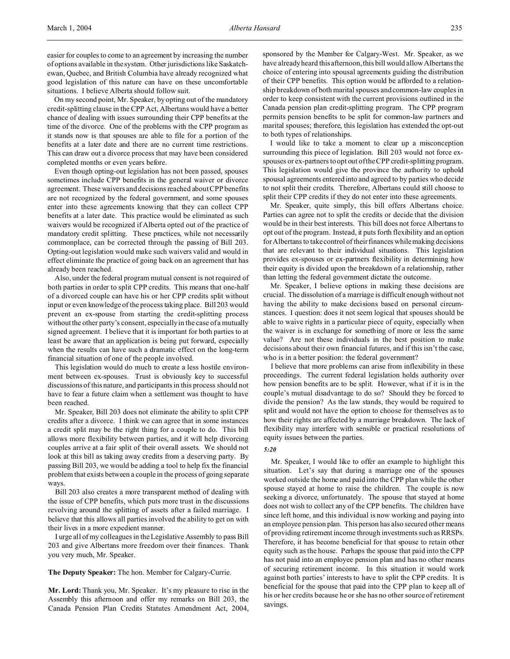easier for couples to come to an agreement by increasing the number of options available in the system. Other jurisdictions like Saskatchewan, Quebec, and British Columbia have already recognized what good legislation of this nature can have on these uncomfortable situations. I believe Alberta should follow suit.

On my second point, Mr. Speaker, by opting out of the mandatory credit-splitting clause in the CPP Act, Albertans would have a better chance of dealing with issues surrounding their CPP benefits at the time of the divorce. One of the problems with the CPP program as it stands now is that spouses are able to file for a portion of the benefits at a later date and there are no current time restrictions. This can draw out a divorce process that may have been considered completed months or even years before.

Even though opting-out legislation has not been passed, spouses sometimes include CPP benefits in the general waiver or divorce agreement. These waivers and decisions reached about CPP benefits are not recognized by the federal government, and some spouses enter into these agreements knowing that they can collect CPP benefits at a later date. This practice would be eliminated as such waivers would be recognized if Alberta opted out of the practice of mandatory credit splitting. These practices, while not necessarily commonplace, can be corrected through the passing of Bill 203. Opting-out legislation would make such waivers valid and would in effect eliminate the practice of going back on an agreement that has already been reached.

Also, under the federal program mutual consent is not required of both parties in order to split CPP credits. This means that one-half of a divorced couple can have his or her CPP credits split without input or even knowledge of the process taking place. Bill 203 would prevent an ex-spouse from starting the credit-splitting process without the other party's consent, especially in the case of a mutually signed agreement. I believe that it is important for both parties to at least be aware that an application is being put forward, especially when the results can have such a dramatic effect on the long-term financial situation of one of the people involved.

This legislation would do much to create a less hostile environment between ex-spouses. Trust is obviously key to successful discussions of this nature, and participants in this process should not have to fear a future claim when a settlement was thought to have been reached.

Mr. Speaker, Bill 203 does not eliminate the ability to split CPP credits after a divorce. I think we can agree that in some instances a credit split may be the right thing for a couple to do. This bill allows more flexibility between parties, and it will help divorcing couples arrive at a fair split of their overall assets. We should not look at this bill as taking away credits from a deserving party. By passing Bill 203, we would be adding a tool to help fix the financial problem that exists between a couple in the process of going separate ways.

Bill 203 also creates a more transparent method of dealing with the issue of CPP benefits, which puts more trust in the discussions revolving around the splitting of assets after a failed marriage. I believe that this allows all parties involved the ability to get on with their lives in a more expedient manner.

I urge all of my colleagues in the Legislative Assembly to pass Bill 203 and give Albertans more freedom over their finances. Thank you very much, Mr. Speaker.

**The Deputy Speaker:** The hon. Member for Calgary-Currie.

**Mr. Lord:** Thank you, Mr. Speaker. It's my pleasure to rise in the Assembly this afternoon and offer my remarks on Bill 203, the Canada Pension Plan Credits Statutes Amendment Act, 2004,

sponsored by the Member for Calgary-West. Mr. Speaker, as we have already heard this afternoon, this bill would allow Albertans the choice of entering into spousal agreements guiding the distribution of their CPP benefits. This option would be afforded to a relationship breakdown of both marital spouses and common-law couples in order to keep consistent with the current provisions outlined in the Canada pension plan credit-splitting program. The CPP program permits pension benefits to be split for common-law partners and marital spouses; therefore, this legislation has extended the opt-out to both types of relationships.

I would like to take a moment to clear up a misconception surrounding this piece of legislation. Bill 203 would not force exspouses or ex-partners to opt out of the CPP credit-splitting program. This legislation would give the province the authority to uphold spousal agreements entered into and agreed to by parties who decide to not split their credits. Therefore, Albertans could still choose to split their CPP credits if they do not enter into these agreements.

Mr. Speaker, quite simply, this bill offers Albertans choice. Parties can agree not to split the credits or decide that the division would be in their best interests. This bill does not force Albertans to opt out of the program. Instead, it puts forth flexibility and an option for Albertans to take control of their finances while making decisions that are relevant to their individual situations. This legislation provides ex-spouses or ex-partners flexibility in determining how their equity is divided upon the breakdown of a relationship, rather than letting the federal government dictate the outcome.

Mr. Speaker, I believe options in making these decisions are crucial. The dissolution of a marriage is difficult enough without not having the ability to make decisions based on personal circumstances. I question: does it not seem logical that spouses should be able to waive rights in a particular piece of equity, especially when the waiver is in exchange for something of more or less the same value? Are not these individuals in the best position to make decisions about their own financial futures, and if this isn't the case, who is in a better position: the federal government?

I believe that more problems can arise from inflexibility in these proceedings. The current federal legislation holds authority over how pension benefits are to be split. However, what if it is in the couple's mutual disadvantage to do so? Should they be forced to divide the pension? As the law stands, they would be required to split and would not have the option to choose for themselves as to how their rights are affected by a marriage breakdown. The lack of flexibility may interfere with sensible or practical resolutions of equity issues between the parties.

#### *5:20*

Mr. Speaker, I would like to offer an example to highlight this situation. Let's say that during a marriage one of the spouses worked outside the home and paid into the CPP plan while the other spouse stayed at home to raise the children. The couple is now seeking a divorce, unfortunately. The spouse that stayed at home does not wish to collect any of the CPP benefits. The children have since left home, and this individual is now working and paying into an employee pension plan. This person has also secured other means of providing retirement income through investments such as RRSPs. Therefore, it has become beneficial for that spouse to retain other equity such as the house. Perhaps the spouse that paid into the CPP has not paid into an employee pension plan and has no other means of securing retirement income. In this situation it would work against both parties' interests to have to split the CPP credits. It is beneficial for the spouse that paid into the CPP plan to keep all of his or her credits because he or she has no other source of retirement savings.